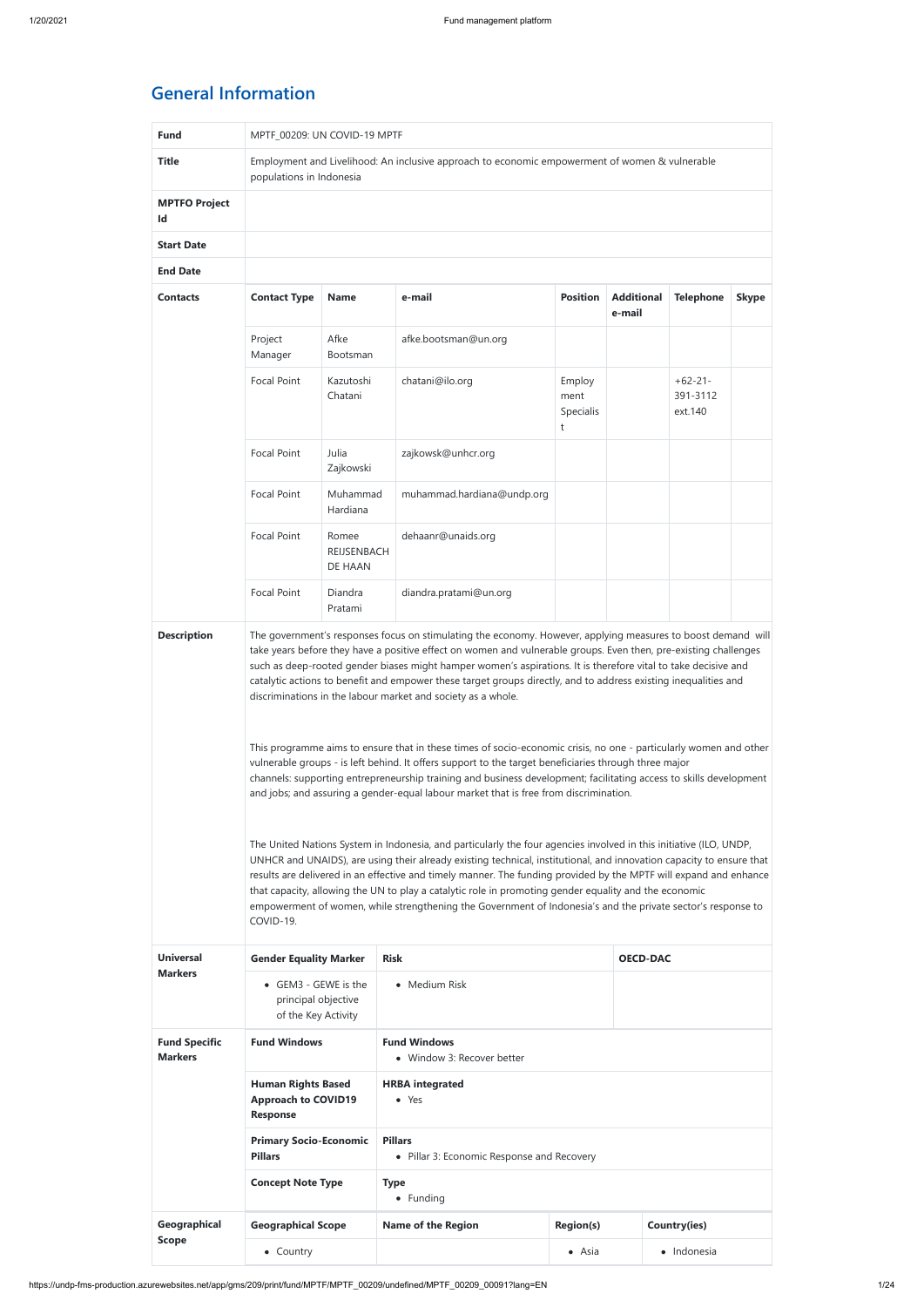https://undp-fms-production.azurewebsites.net/app/gms/209/print/fund/MPTF/MPTF\_00209/undefined/MPTF\_00209\_00091?lang=EN 1/24

## **General Information**

| <b>Fund</b>                            | MPTF_00209: UN COVID-19 MPTF                                                                                                                                                                                                                                                                                                                                                                                                                                                                                                                                                                                                                                                                                                                                                                                                                                                                                                                                                                                                                                                                                                                                                                                                                                                                                                                                                                                                                                                                                                                                                                |                                                                                               |                                                   |                                  |                             |                                  |              |
|----------------------------------------|---------------------------------------------------------------------------------------------------------------------------------------------------------------------------------------------------------------------------------------------------------------------------------------------------------------------------------------------------------------------------------------------------------------------------------------------------------------------------------------------------------------------------------------------------------------------------------------------------------------------------------------------------------------------------------------------------------------------------------------------------------------------------------------------------------------------------------------------------------------------------------------------------------------------------------------------------------------------------------------------------------------------------------------------------------------------------------------------------------------------------------------------------------------------------------------------------------------------------------------------------------------------------------------------------------------------------------------------------------------------------------------------------------------------------------------------------------------------------------------------------------------------------------------------------------------------------------------------|-----------------------------------------------------------------------------------------------|---------------------------------------------------|----------------------------------|-----------------------------|----------------------------------|--------------|
| <b>Title</b>                           | Employment and Livelihood: An inclusive approach to economic empowerment of women & vulnerable<br>populations in Indonesia                                                                                                                                                                                                                                                                                                                                                                                                                                                                                                                                                                                                                                                                                                                                                                                                                                                                                                                                                                                                                                                                                                                                                                                                                                                                                                                                                                                                                                                                  |                                                                                               |                                                   |                                  |                             |                                  |              |
| <b>MPTFO Project</b><br>Id             |                                                                                                                                                                                                                                                                                                                                                                                                                                                                                                                                                                                                                                                                                                                                                                                                                                                                                                                                                                                                                                                                                                                                                                                                                                                                                                                                                                                                                                                                                                                                                                                             |                                                                                               |                                                   |                                  |                             |                                  |              |
| <b>Start Date</b>                      |                                                                                                                                                                                                                                                                                                                                                                                                                                                                                                                                                                                                                                                                                                                                                                                                                                                                                                                                                                                                                                                                                                                                                                                                                                                                                                                                                                                                                                                                                                                                                                                             |                                                                                               |                                                   |                                  |                             |                                  |              |
| <b>End Date</b>                        |                                                                                                                                                                                                                                                                                                                                                                                                                                                                                                                                                                                                                                                                                                                                                                                                                                                                                                                                                                                                                                                                                                                                                                                                                                                                                                                                                                                                                                                                                                                                                                                             |                                                                                               |                                                   |                                  |                             |                                  |              |
| <b>Contacts</b>                        | <b>Contact Type</b>                                                                                                                                                                                                                                                                                                                                                                                                                                                                                                                                                                                                                                                                                                                                                                                                                                                                                                                                                                                                                                                                                                                                                                                                                                                                                                                                                                                                                                                                                                                                                                         | <b>Name</b>                                                                                   | e-mail                                            | <b>Position</b>                  | <b>Additional</b><br>e-mail | <b>Telephone</b>                 | <b>Skype</b> |
|                                        | Project<br>Manager                                                                                                                                                                                                                                                                                                                                                                                                                                                                                                                                                                                                                                                                                                                                                                                                                                                                                                                                                                                                                                                                                                                                                                                                                                                                                                                                                                                                                                                                                                                                                                          | Afke<br>Bootsman                                                                              | afke.bootsman@un.org                              |                                  |                             |                                  |              |
|                                        | <b>Focal Point</b>                                                                                                                                                                                                                                                                                                                                                                                                                                                                                                                                                                                                                                                                                                                                                                                                                                                                                                                                                                                                                                                                                                                                                                                                                                                                                                                                                                                                                                                                                                                                                                          | Kazutoshi<br>Chatani                                                                          | chatani@ilo.org                                   | Employ<br>ment<br>Specialis<br>t |                             | $+62-21-$<br>391-3112<br>ext.140 |              |
|                                        | <b>Focal Point</b>                                                                                                                                                                                                                                                                                                                                                                                                                                                                                                                                                                                                                                                                                                                                                                                                                                                                                                                                                                                                                                                                                                                                                                                                                                                                                                                                                                                                                                                                                                                                                                          | Julia<br>Zajkowski                                                                            | zajkowsk@unhcr.org                                |                                  |                             |                                  |              |
|                                        | <b>Focal Point</b>                                                                                                                                                                                                                                                                                                                                                                                                                                                                                                                                                                                                                                                                                                                                                                                                                                                                                                                                                                                                                                                                                                                                                                                                                                                                                                                                                                                                                                                                                                                                                                          | Muhammad<br>Hardiana                                                                          | muhammad.hardiana@undp.org                        |                                  |                             |                                  |              |
|                                        | <b>Focal Point</b>                                                                                                                                                                                                                                                                                                                                                                                                                                                                                                                                                                                                                                                                                                                                                                                                                                                                                                                                                                                                                                                                                                                                                                                                                                                                                                                                                                                                                                                                                                                                                                          | Romee<br>REIJSENBACH<br>DE HAAN                                                               | dehaanr@unaids.org                                |                                  |                             |                                  |              |
|                                        | <b>Focal Point</b>                                                                                                                                                                                                                                                                                                                                                                                                                                                                                                                                                                                                                                                                                                                                                                                                                                                                                                                                                                                                                                                                                                                                                                                                                                                                                                                                                                                                                                                                                                                                                                          | Diandra<br>Pratami                                                                            | diandra.pratami@un.org                            |                                  |                             |                                  |              |
|                                        | The government's responses focus on stimulating the economy. However, applying measures to boost demand will<br>take years before they have a positive effect on women and vulnerable groups. Even then, pre-existing challenges<br>such as deep-rooted gender biases might hamper women's aspirations. It is therefore vital to take decisive and<br>catalytic actions to benefit and empower these target groups directly, and to address existing inequalities and<br>discriminations in the labour market and society as a whole.<br>This programme aims to ensure that in these times of socio-economic crisis, no one - particularly women and other<br>vulnerable groups - is left behind. It offers support to the target beneficiaries through three major<br>channels: supporting entrepreneurship training and business development; facilitating access to skills development<br>and jobs; and assuring a gender-equal labour market that is free from discrimination.<br>The United Nations System in Indonesia, and particularly the four agencies involved in this initiative (ILO, UNDP,<br>UNHCR and UNAIDS), are using their already existing technical, institutional, and innovation capacity to ensure that<br>results are delivered in an effective and timely manner. The funding provided by the MPTF will expand and enhance<br>that capacity, allowing the UN to play a catalytic role in promoting gender equality and the economic<br>empowerment of women, while strengthening the Government of Indonesia's and the private sector's response to<br>COVID-19. |                                                                                               |                                                   |                                  |                             |                                  |              |
| <b>Universal</b><br><b>Markers</b>     | <b>Gender Equality Marker</b>                                                                                                                                                                                                                                                                                                                                                                                                                                                                                                                                                                                                                                                                                                                                                                                                                                                                                                                                                                                                                                                                                                                                                                                                                                                                                                                                                                                                                                                                                                                                                               |                                                                                               | <b>Risk</b>                                       |                                  |                             | <b>OECD-DAC</b>                  |              |
|                                        | • GEM3 - GEWE is the<br>principal objective<br>of the Key Activity                                                                                                                                                                                                                                                                                                                                                                                                                                                                                                                                                                                                                                                                                                                                                                                                                                                                                                                                                                                                                                                                                                                                                                                                                                                                                                                                                                                                                                                                                                                          |                                                                                               | • Medium Risk                                     |                                  |                             |                                  |              |
| <b>Fund Specific</b><br><b>Markers</b> | <b>Fund Windows</b>                                                                                                                                                                                                                                                                                                                                                                                                                                                                                                                                                                                                                                                                                                                                                                                                                                                                                                                                                                                                                                                                                                                                                                                                                                                                                                                                                                                                                                                                                                                                                                         |                                                                                               | <b>Fund Windows</b><br>• Window 3: Recover better |                                  |                             |                                  |              |
|                                        | <b>Human Rights Based</b><br><b>Approach to COVID19</b><br><b>Response</b>                                                                                                                                                                                                                                                                                                                                                                                                                                                                                                                                                                                                                                                                                                                                                                                                                                                                                                                                                                                                                                                                                                                                                                                                                                                                                                                                                                                                                                                                                                                  |                                                                                               | <b>HRBA</b> integrated<br>$\bullet$ Yes           |                                  |                             |                                  |              |
|                                        | <b>Pillars</b>                                                                                                                                                                                                                                                                                                                                                                                                                                                                                                                                                                                                                                                                                                                                                                                                                                                                                                                                                                                                                                                                                                                                                                                                                                                                                                                                                                                                                                                                                                                                                                              | <b>Primary Socio-Economic</b><br><b>Pillars</b><br>• Pillar 3: Economic Response and Recovery |                                                   |                                  |                             |                                  |              |
|                                        | <b>Concept Note Type</b>                                                                                                                                                                                                                                                                                                                                                                                                                                                                                                                                                                                                                                                                                                                                                                                                                                                                                                                                                                                                                                                                                                                                                                                                                                                                                                                                                                                                                                                                                                                                                                    |                                                                                               | <b>Type</b><br>• Funding                          |                                  |                             |                                  |              |
| Geographical                           | <b>Geographical Scope</b>                                                                                                                                                                                                                                                                                                                                                                                                                                                                                                                                                                                                                                                                                                                                                                                                                                                                                                                                                                                                                                                                                                                                                                                                                                                                                                                                                                                                                                                                                                                                                                   |                                                                                               | <b>Name of the Region</b>                         | <b>Region(s)</b>                 |                             | Country(ies)                     |              |
| <b>Scope</b>                           | • Country                                                                                                                                                                                                                                                                                                                                                                                                                                                                                                                                                                                                                                                                                                                                                                                                                                                                                                                                                                                                                                                                                                                                                                                                                                                                                                                                                                                                                                                                                                                                                                                   |                                                                                               |                                                   | $\bullet$ Asia                   |                             | · Indonesia                      |              |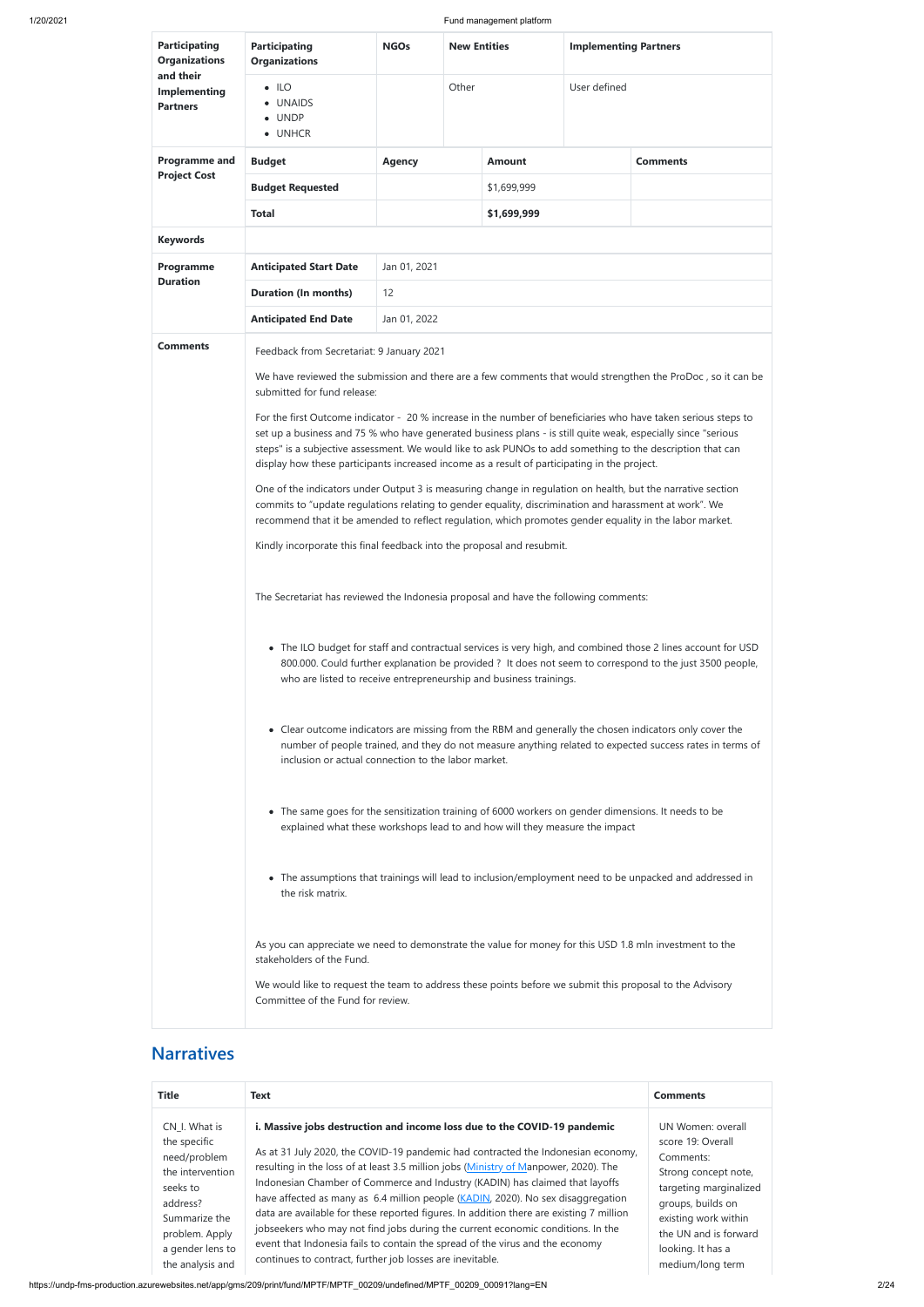We would like to request the team to address these points before we submit this proposal to the Advisory Committee of the Fund for review.

| <b>Participating</b><br><b>Organizations</b><br>and their<br><b>Implementing</b><br><b>Partners</b> | <b>Participating</b><br><b>Organizations</b>                                                                                                                                                                                                                                                                                                                                                                                                                                                                                                                                                                                                                                                                                                                                                                                                                                                                                                                                                                                                                                                                                                                                                                                                                                                                                                                                                                                                                                                                                                                                                                                                                                                                                                                                                                                                                                                                                                                                                                                                                                                                                                                                               | <b>NGOs</b>   | <b>New Entities</b> |               | <b>Implementing Partners</b> |                 |  |
|-----------------------------------------------------------------------------------------------------|--------------------------------------------------------------------------------------------------------------------------------------------------------------------------------------------------------------------------------------------------------------------------------------------------------------------------------------------------------------------------------------------------------------------------------------------------------------------------------------------------------------------------------------------------------------------------------------------------------------------------------------------------------------------------------------------------------------------------------------------------------------------------------------------------------------------------------------------------------------------------------------------------------------------------------------------------------------------------------------------------------------------------------------------------------------------------------------------------------------------------------------------------------------------------------------------------------------------------------------------------------------------------------------------------------------------------------------------------------------------------------------------------------------------------------------------------------------------------------------------------------------------------------------------------------------------------------------------------------------------------------------------------------------------------------------------------------------------------------------------------------------------------------------------------------------------------------------------------------------------------------------------------------------------------------------------------------------------------------------------------------------------------------------------------------------------------------------------------------------------------------------------------------------------------------------------|---------------|---------------------|---------------|------------------------------|-----------------|--|
|                                                                                                     | $\bullet$ ILO<br><b>UNAIDS</b><br>$\bullet$ UNDP<br>• UNHCR                                                                                                                                                                                                                                                                                                                                                                                                                                                                                                                                                                                                                                                                                                                                                                                                                                                                                                                                                                                                                                                                                                                                                                                                                                                                                                                                                                                                                                                                                                                                                                                                                                                                                                                                                                                                                                                                                                                                                                                                                                                                                                                                |               | Other               |               | User defined                 |                 |  |
| <b>Programme and</b>                                                                                | <b>Budget</b>                                                                                                                                                                                                                                                                                                                                                                                                                                                                                                                                                                                                                                                                                                                                                                                                                                                                                                                                                                                                                                                                                                                                                                                                                                                                                                                                                                                                                                                                                                                                                                                                                                                                                                                                                                                                                                                                                                                                                                                                                                                                                                                                                                              | <b>Agency</b> |                     | <b>Amount</b> |                              | <b>Comments</b> |  |
| <b>Project Cost</b>                                                                                 | <b>Budget Requested</b>                                                                                                                                                                                                                                                                                                                                                                                                                                                                                                                                                                                                                                                                                                                                                                                                                                                                                                                                                                                                                                                                                                                                                                                                                                                                                                                                                                                                                                                                                                                                                                                                                                                                                                                                                                                                                                                                                                                                                                                                                                                                                                                                                                    |               |                     | \$1,699,999   |                              |                 |  |
|                                                                                                     | <b>Total</b>                                                                                                                                                                                                                                                                                                                                                                                                                                                                                                                                                                                                                                                                                                                                                                                                                                                                                                                                                                                                                                                                                                                                                                                                                                                                                                                                                                                                                                                                                                                                                                                                                                                                                                                                                                                                                                                                                                                                                                                                                                                                                                                                                                               |               |                     | \$1,699,999   |                              |                 |  |
| <b>Keywords</b>                                                                                     |                                                                                                                                                                                                                                                                                                                                                                                                                                                                                                                                                                                                                                                                                                                                                                                                                                                                                                                                                                                                                                                                                                                                                                                                                                                                                                                                                                                                                                                                                                                                                                                                                                                                                                                                                                                                                                                                                                                                                                                                                                                                                                                                                                                            |               |                     |               |                              |                 |  |
| Programme                                                                                           | <b>Anticipated Start Date</b>                                                                                                                                                                                                                                                                                                                                                                                                                                                                                                                                                                                                                                                                                                                                                                                                                                                                                                                                                                                                                                                                                                                                                                                                                                                                                                                                                                                                                                                                                                                                                                                                                                                                                                                                                                                                                                                                                                                                                                                                                                                                                                                                                              | Jan 01, 2021  |                     |               |                              |                 |  |
| <b>Duration</b>                                                                                     | <b>Duration (In months)</b>                                                                                                                                                                                                                                                                                                                                                                                                                                                                                                                                                                                                                                                                                                                                                                                                                                                                                                                                                                                                                                                                                                                                                                                                                                                                                                                                                                                                                                                                                                                                                                                                                                                                                                                                                                                                                                                                                                                                                                                                                                                                                                                                                                | 12            |                     |               |                              |                 |  |
|                                                                                                     | <b>Anticipated End Date</b>                                                                                                                                                                                                                                                                                                                                                                                                                                                                                                                                                                                                                                                                                                                                                                                                                                                                                                                                                                                                                                                                                                                                                                                                                                                                                                                                                                                                                                                                                                                                                                                                                                                                                                                                                                                                                                                                                                                                                                                                                                                                                                                                                                | Jan 01, 2022  |                     |               |                              |                 |  |
| <b>Comments</b>                                                                                     | Feedback from Secretariat: 9 January 2021<br>We have reviewed the submission and there are a few comments that would strengthen the ProDoc, so it can be<br>submitted for fund release:<br>For the first Outcome indicator - 20 % increase in the number of beneficiaries who have taken serious steps to<br>set up a business and 75 % who have generated business plans - is still quite weak, especially since "serious<br>steps" is a subjective assessment. We would like to ask PUNOs to add something to the description that can<br>display how these participants increased income as a result of participating in the project.<br>One of the indicators under Output 3 is measuring change in regulation on health, but the narrative section<br>commits to "update regulations relating to gender equality, discrimination and harassment at work". We<br>recommend that it be amended to reflect regulation, which promotes gender equality in the labor market.<br>Kindly incorporate this final feedback into the proposal and resubmit.<br>The Secretariat has reviewed the Indonesia proposal and have the following comments:<br>• The ILO budget for staff and contractual services is very high, and combined those 2 lines account for USD<br>800.000. Could further explanation be provided ? It does not seem to correspond to the just 3500 people,<br>who are listed to receive entrepreneurship and business trainings.<br>• Clear outcome indicators are missing from the RBM and generally the chosen indicators only cover the<br>number of people trained, and they do not measure anything related to expected success rates in terms of<br>inclusion or actual connection to the labor market.<br>• The same goes for the sensitization training of 6000 workers on gender dimensions. It needs to be<br>explained what these workshops lead to and how will they measure the impact<br>• The assumptions that trainings will lead to inclusion/employment need to be unpacked and addressed in<br>the risk matrix.<br>As you can appreciate we need to demonstrate the value for money for this USD 1.8 mln investment to the<br>stakeholders of the Fund. |               |                     |               |                              |                 |  |
|                                                                                                     |                                                                                                                                                                                                                                                                                                                                                                                                                                                                                                                                                                                                                                                                                                                                                                                                                                                                                                                                                                                                                                                                                                                                                                                                                                                                                                                                                                                                                                                                                                                                                                                                                                                                                                                                                                                                                                                                                                                                                                                                                                                                                                                                                                                            |               |                     |               |                              |                 |  |

## **Narratives**

| <b>Title</b>                                                                                                                                                         | Text                                                                                                                                                                                                                                                                                                                                                                                                                                                                                                                                                                                                                                                                                                                                                 | <b>Comments</b>                                                                                                                                                                                                      |
|----------------------------------------------------------------------------------------------------------------------------------------------------------------------|------------------------------------------------------------------------------------------------------------------------------------------------------------------------------------------------------------------------------------------------------------------------------------------------------------------------------------------------------------------------------------------------------------------------------------------------------------------------------------------------------------------------------------------------------------------------------------------------------------------------------------------------------------------------------------------------------------------------------------------------------|----------------------------------------------------------------------------------------------------------------------------------------------------------------------------------------------------------------------|
| CN I. What is<br>the specific<br>need/problem<br>the intervention<br>seeks to<br>address?<br>Summarize the<br>problem. Apply<br>a gender lens to<br>the analysis and | i. Massive jobs destruction and income loss due to the COVID-19 pandemic<br>As at 31 July 2020, the COVID-19 pandemic had contracted the Indonesian economy,<br>resulting in the loss of at least 3.5 million jobs (Ministry of Manpower, 2020). The<br>Indonesian Chamber of Commerce and Industry (KADIN) has claimed that layoffs<br>have affected as many as 6.4 million people (KADIN, 2020). No sex disaggregation<br>data are available for these reported figures. In addition there are existing 7 million<br>jobseekers who may not find jobs during the current economic conditions. In the<br>event that Indonesia fails to contain the spread of the virus and the economy<br>continues to contract, further job losses are inevitable. | UN Women: overall<br>score 19: Overall<br>Comments:<br>Strong concept note,<br>targeting marginalized<br>groups, builds on<br>existing work within<br>the UN and is forward<br>looking. It has a<br>medium/long term |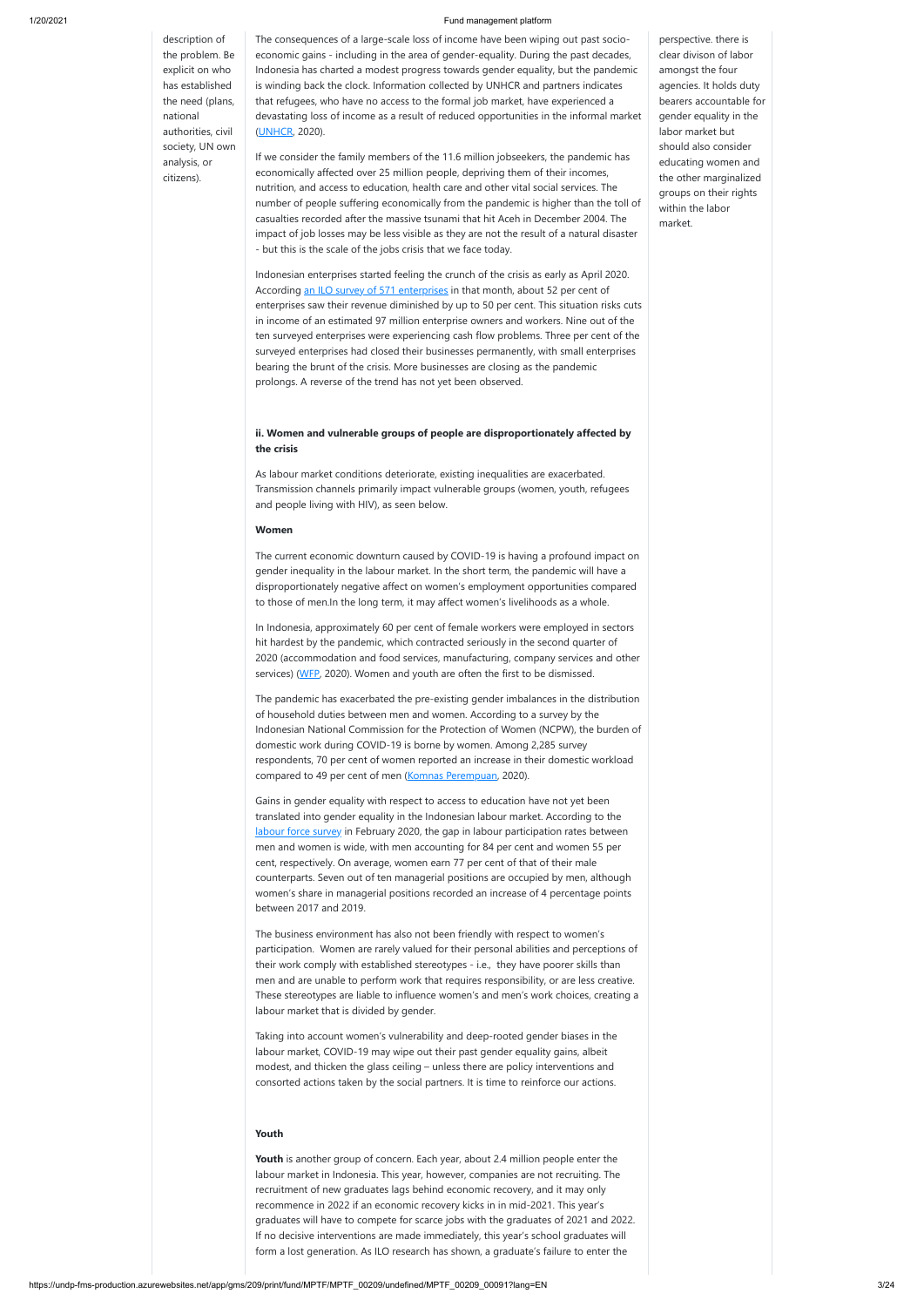description of the problem. Be explicit on who has established the need (plans, national authorities, civil society, UN own analysis, or citizens).

The consequences of a large-scale loss of income have been wiping out past socioeconomic gains - including in the area of gender-equality. During the past decades, Indonesia has charted a modest progress towards gender equality, but the pandemic is winding back the clock. Information collected by UNHCR and partners indicates that refugees, who have no access to the formal job market, have experienced a devastating loss of income as a result of reduced opportunities in the informal market ([UNHCR](https://www.unhcr.org/5ecfacab4), 2020).

If we consider the family members of the 11.6 million jobseekers, the pandemic has economically affected over 25 million people, depriving them of their incomes, nutrition, and access to education, health care and other vital social services. The number of people suffering economically from the pandemic is higher than the toll of casualties recorded after the massive tsunami that hit Aceh in December 2004. The impact of job losses may be less visible as they are not the result of a natural disaster - but this is the scale of the jobs crisis that we face today.

In Indonesia, approximately 60 per cent of female workers were employed in sectors hit hardest by the pandemic, which contracted seriously in the second quarter of 2020 (accommodation and food services, manufacturing, company services and other services) [\(WFP,](https://www.wfp.org/publications/covid-19-economic-and-food-security-implications-indonesia-3rd-edition-august-2020) 2020). Women and youth are often the first to be dismissed.

The pandemic has exacerbated the pre-existing gender imbalances in the distribution of household duties between men and women. According to a survey by the Indonesian National Commission for the Protection of Women (NCPW), the burden of domestic work during COVID-19 is borne by women. Among 2,285 survey respondents, 70 per cent of women reported an increase in their domestic workload compared to 49 per cent of men ([Komnas Perempuan,](https://www.komnasperempuan.go.id/file/Kerjasama%20KP%20dan%20KOminfo/2020%20Siaran%20Pers%20Pernyataan%20Misoginis%20Pejabat%20Publik%20(39%20Mei%202020)/Eksekutif%20Summary%20KAJIAN%20DINAMIKA%20PERUBAHAN%20DI%20DALAM%20RUMAH%20TANGGA_03062020.pdf) 2020).

Indonesian enterprises started feeling the crunch of the crisis as early as April 2020. According [an ILO survey of 571 enterprises](https://www.ilo.org/jakarta/whatwedo/publications/WCMS_745055/lang--en/index.htm) in that month, about 52 per cent of enterprises saw their revenue diminished by up to 50 per cent. This situation risks cuts in income of an estimated 97 million enterprise owners and workers. Nine out of the ten surveyed enterprises were experiencing cash flow problems. Three per cent of the surveyed enterprises had closed their businesses permanently, with small enterprises bearing the brunt of the crisis. More businesses are closing as the pandemic prolongs. A reverse of the trend has not yet been observed.

### **ii. Women and vulnerable groups of people are disproportionately affected by the crisis**

As labour market conditions deteriorate, existing inequalities are exacerbated. Transmission channels primarily impact vulnerable groups (women, youth, refugees and people living with HIV), as seen below.

#### **Women**

The current economic downturn caused by COVID-19 is having a profound impact on gender inequality in the labour market. In the short term, the pandemic will have a disproportionately negative affect on women's employment opportunities compared to those of men.In the long term, it may affect women's livelihoods as a whole.

Youth is another group of concern. Each year, about 2.4 million people enter the labour market in Indonesia. This year, however, companies are not recruiting. The recruitment of new graduates lags behind economic recovery, and it may only recommence in 2022 if an economic recovery kicks in in mid-2021. This year's graduates will have to compete for scarce jobs with the graduates of 2021 and 2022. If no decisive interventions are made immediately, this year's school graduates will form a lost generation. As ILO research has shown, a graduate's failure to enter the

Gains in gender equality with respect to access to education have not yet been translated into gender equality in the Indonesian labour market. According to the [labour force survey](https://www.bps.go.id/publication/2020/06/19/c0d3df055948f7bcb65890f0/keadaan-angkatan-kerja-di-indonesia-februari-2020.html) in February 2020, the gap in labour participation rates between men and women is wide, with men accounting for 84 per cent and women 55 per cent, respectively. On average, women earn 77 per cent of that of their male counterparts. Seven out of ten managerial positions are occupied by men, although women's share in managerial positions recorded an increase of 4 percentage points between 2017 and 2019.

The business environment has also not been friendly with respect to women's participation. Women are rarely valued for their personal abilities and perceptions of their work comply with established stereotypes - i.e., they have poorer skills than men and are unable to perform work that requires responsibility, or are less creative.

These stereotypes are liable to influence women's and men's work choices, creating a labour market that is divided by gender.

Taking into account women's vulnerability and deep-rooted gender biases in the labour market, COVID-19 may wipe out their past gender equality gains, albeit modest, and thicken the glass ceiling – unless there are policy interventions and consorted actions taken by the social partners. It is time to reinforce our actions.

#### **Youth**

perspective. there is clear divison of labor amongst the four agencies. It holds duty bearers accountable for gender equality in the labor market but should also consider educating women and the other marginalized groups on their rights within the labor market.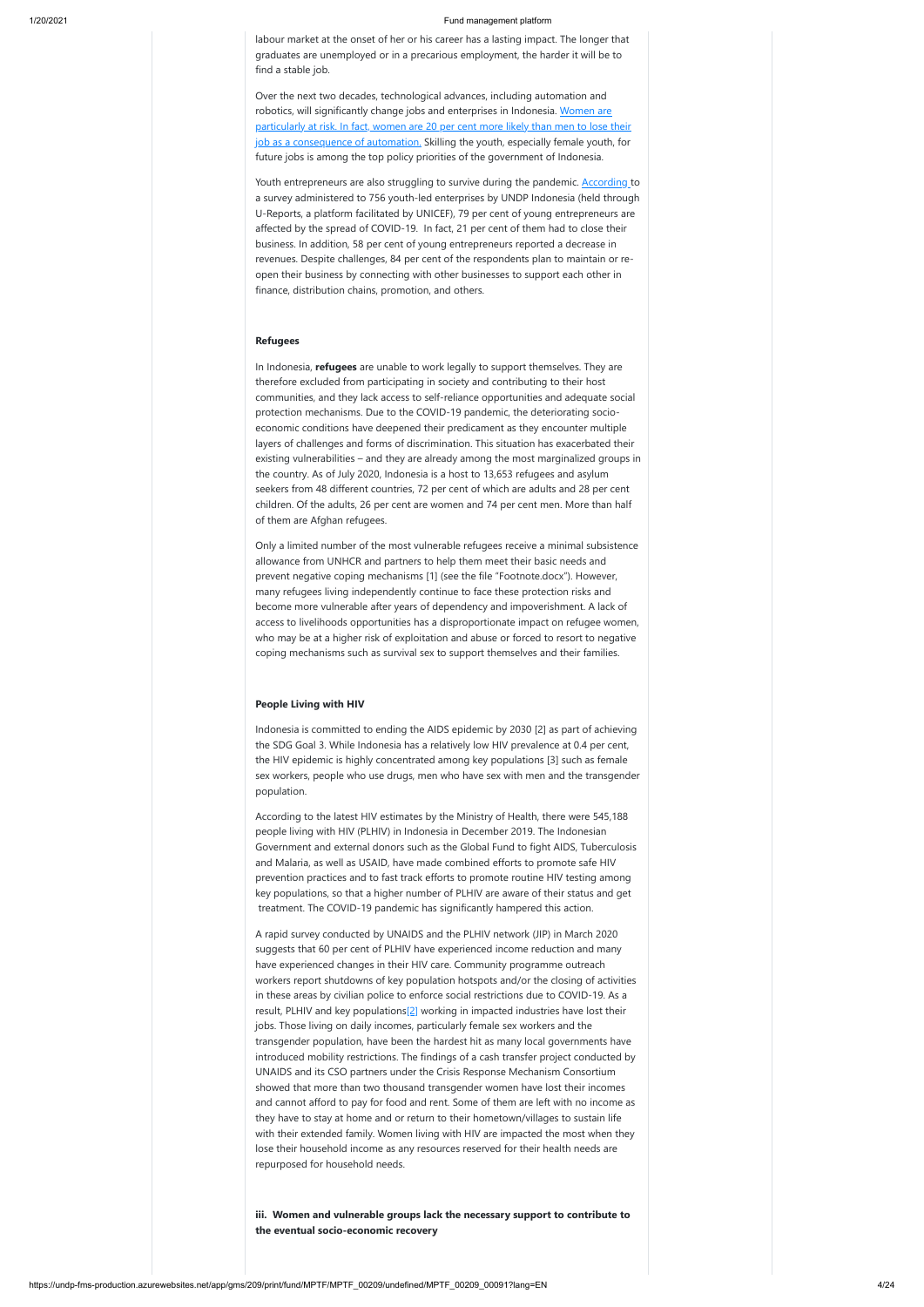https://undp-fms-production.azurewebsites.net/app/gms/209/print/fund/MPTF/MPTF\_00209/undefined/MPTF\_00209\_00091?lang=EN 4/24

labour market at the onset of her or his career has a lasting impact. The longer that graduates are unemployed or in a precarious employment, the harder it will be to find a stable job.

Over the next two decades, technological advances, including automation and robotics, will significantly change jobs and enterprises in Indonesia. Women are [particularly at risk. In fact, women are 20 per cent more likely than men to lose their](https://www.ilo.org/wcmsp5/groups/public/---ed_dialogue/---act_emp/documents/publication/wcms_579554.pdf) job as a consequence of automation. Skilling the youth, especially female youth, for future jobs is among the top policy priorities of the government of Indonesia.

Youth entrepreneurs are also struggling to survive during the pandemic. **[According t](https://www.id.undp.org/content/indonesia/en/home/library/Impact-of-COVID-19-on-Youth-Entrepreneurs.html)o** a survey administered to 756 youth-led enterprises by UNDP Indonesia (held through U-Reports, a platform facilitated by UNICEF), 79 per cent of young entrepreneurs are affected by the spread of COVID-19. In fact, 21 per cent of them had to close their business. In addition, 58 per cent of young entrepreneurs reported a decrease in revenues. Despite challenges, 84 per cent of the respondents plan to maintain or reopen their business by connecting with other businesses to support each other in finance, distribution chains, promotion, and others.

#### **Refugees**

In Indonesia, **refugees** are unable to work legally to support themselves. They are therefore excluded from participating in society and contributing to their host communities, and they lack access to self-reliance opportunities and adequate social protection mechanisms. Due to the COVID-19 pandemic, the deteriorating socioeconomic conditions have deepened their predicament as they encounter multiple layers of challenges and forms of discrimination. This situation has exacerbated their existing vulnerabilities – and they are already among the most marginalized groups in the country. As of July 2020, Indonesia is a host to 13,653 refugees and asylum seekers from 48 different countries, 72 per cent of which are adults and 28 per cent children. Of the adults, 26 per cent are women and 74 per cent men. More than half of them are Afghan refugees.

Only a limited number of the most vulnerable refugees receive a minimal subsistence allowance from UNHCR and partners to help them meet their basic needs and prevent negative coping mechanisms [1] (see the file "Footnote.docx"). However, many refugees living independently continue to face these protection risks and become more vulnerable after years of dependency and impoverishment. A lack of access to livelihoods opportunities has a disproportionate impact on refugee women, who may be at a higher risk of exploitation and abuse or forced to resort to negative coping mechanisms such as survival sex to support themselves and their families.

#### **People Living with HIV**

Indonesia is committed to ending the AIDS epidemic by 2030 [2] as part of achieving the SDG Goal 3. While Indonesia has a relatively low HIV prevalence at 0.4 per cent, the HIV epidemic is highly concentrated among key populations [3] such as female sex workers, people who use drugs, men who have sex with men and the transgender population.

According to the latest HIV estimates by the Ministry of Health, there were 545,188 people living with HIV (PLHIV) in Indonesia in December 2019. The Indonesian Government and external donors such as the Global Fund to fight AIDS, Tuberculosis and Malaria, as well as USAID, have made combined efforts to promote safe HIV prevention practices and to fast track efforts to promote routine HIV testing among key populations, so that a higher number of PLHIV are aware of their status and get treatment. The COVID-19 pandemic has significantly hampered this action.

A rapid survey conducted by UNAIDS and the PLHIV network (JIP) in March 2020 suggests that 60 per cent of PLHIV have experienced income reduction and many have experienced changes in their HIV care. Community programme outreach workers report shutdowns of key population hotspots and/or the closing of activities

in these areas by civilian police to enforce social restrictions due to COVID-19. As a result, PLHIV and key populations<sup>[2]</sup> working in impacted industries have lost their jobs. Those living on daily incomes, particularly female sex workers and the transgender population, have been the hardest hit as many local governments have introduced mobility restrictions. The findings of a cash transfer project conducted by UNAIDS and its CSO partners under the Crisis Response Mechanism Consortium showed that more than two thousand transgender women have lost their incomes and cannot afford to pay for food and rent. Some of them are left with no income as they have to stay at home and or return to their hometown/villages to sustain life with their extended family. Women living with HIV are impacted the most when they lose their household income as any resources reserved for their health needs are repurposed for household needs.

**iii. Women and vulnerable groups lack the necessary support to contribute to the eventual socio-economic recovery**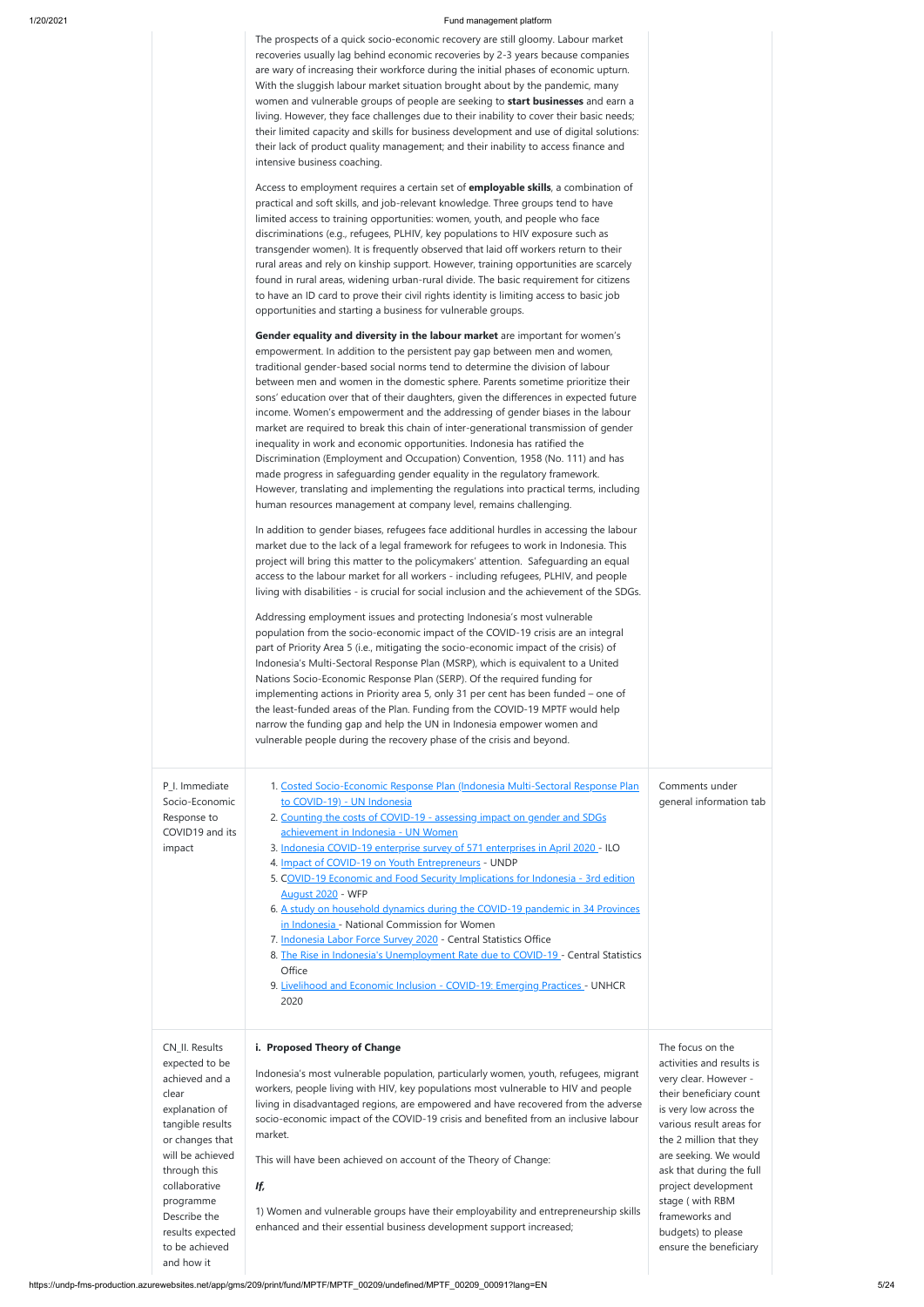The prospects of a quick socio-economic recovery are still gloomy. Labour market recoveries usually lag behind economic recoveries by 2-3 years because companies are wary of increasing their workforce during the initial phases of economic upturn. With the sluggish labour market situation brought about by the pandemic, many women and vulnerable groups of people are seeking to **start businesses** and earn a living. However, they face challenges due to their inability to cover their basic needs; their limited capacity and skills for business development and use of digital solutions: their lack of product quality management; and their inability to access finance and intensive business coaching.

Access to employment requires a certain set of **employable skills**, a combination of practical and soft skills, and job-relevant knowledge. Three groups tend to have limited access to training opportunities: women, youth, and people who face discriminations (e.g., refugees, PLHIV, key populations to HIV exposure such as transgender women). It is frequently observed that laid off workers return to their rural areas and rely on kinship support. However, training opportunities are scarcely found in rural areas, widening urban-rural divide. The basic requirement for citizens to have an ID card to prove their civil rights identity is limiting access to basic job opportunities and starting a business for vulnerable groups.

P\_I. Immediat Socio-Econor Response to COVID19 and impact

| te    | 1. Costed Socio-Economic Response Plan (Indonesia Multi-Sectoral Response Plan  | Comments under          |
|-------|---------------------------------------------------------------------------------|-------------------------|
| mic   | to COVID-19) - UN Indonesia                                                     | general information tab |
|       | 2. Counting the costs of COVID-19 - assessing impact on gender and SDGs         |                         |
| d its | achievement in Indonesia - UN Women                                             |                         |
|       | 3. Indonesia COVID-19 enterprise survey of 571 enterprises in April 2020 - ILO  |                         |
|       | 4. Impact of COVID-19 on Youth Entrepreneurs - UNDP                             |                         |
|       | 5. COVID-19 Economic and Food Security Implications for Indonesia - 3rd edition |                         |
|       | <b>August 2020 - WFP</b>                                                        |                         |
|       | 6. A study on household dynamics during the COVID-19 pandemic in 34 Provinces   |                         |
|       | in Indonesia - National Commission for Women                                    |                         |

- 7. [Indonesia Labor Force Survey 2020](https://www.bps.go.id/publication/2020/06/19/c0d3df055948f7bcb65890f0/keadaan-angkatan-kerja-di-indonesia-februari-2020.html)  Central Statistics Office
- 8. [The Rise in Indonesia's Unemployment Rate due to COVID-19 -](https://www.bps.go.id/pressrelease/2020/11/05/1673/-revisi-per-23-11-2020--agustus-2020--tingkat-pengangguran-terbuka--tpt--sebesar-7-07-persen.html) Central Statistics **Office**

**Gender equality and diversity in the labour market** are important for women's empowerment. In addition to the persistent pay gap between men and women, traditional gender-based social norms tend to determine the division of labour between men and women in the domestic sphere. Parents sometime prioritize their sons' education over that of their daughters, given the differences in expected future income. Women's empowerment and the addressing of gender biases in the labour market are required to break this chain of inter-generational transmission of gender inequality in work and economic opportunities. Indonesia has ratified the Discrimination (Employment and Occupation) Convention, 1958 (No. 111) and has made progress in safeguarding gender equality in the regulatory framework. However, translating and implementing the regulations into practical terms, including human resources management at company level, remains challenging.

In addition to gender biases, refugees face additional hurdles in accessing the labour market due to the lack of a legal framework for refugees to work in Indonesia. This project will bring this matter to the policymakers' attention. Safeguarding an equal access to the labour market for all workers - including refugees, PLHIV, and people living with disabilities - is crucial for social inclusion and the achievement of the SDGs.

Addressing employment issues and protecting Indonesia's most vulnerable population from the socio-economic impact of the COVID-19 crisis are an integral part of Priority Area 5 (i.e., mitigating the socio-economic impact of the crisis) of Indonesia's Multi-Sectoral Response Plan (MSRP), which is equivalent to a United Nations Socio-Economic Response Plan (SERP). Of the required funding for implementing actions in Priority area 5, only 31 per cent has been funded – one of the least-funded areas of the Plan. Funding from the COVID-19 MPTF would help narrow the funding gap and help the UN in Indonesia empower women and vulnerable people during the recovery phase of the crisis and beyond.

|                                                                                                                                                                                                                                                            | 9. Livelihood and Economic Inclusion - COVID-19: Emerging Practices - UNHCR<br>2020                                                                                                                                                                                                                                                                                                                                                                                                                                                                                                                                                          |                                                                                                                                                                                                                                                                                                                                                     |
|------------------------------------------------------------------------------------------------------------------------------------------------------------------------------------------------------------------------------------------------------------|----------------------------------------------------------------------------------------------------------------------------------------------------------------------------------------------------------------------------------------------------------------------------------------------------------------------------------------------------------------------------------------------------------------------------------------------------------------------------------------------------------------------------------------------------------------------------------------------------------------------------------------------|-----------------------------------------------------------------------------------------------------------------------------------------------------------------------------------------------------------------------------------------------------------------------------------------------------------------------------------------------------|
| CN_II. Results<br>expected to be<br>achieved and a<br>clear<br>explanation of<br>tangible results<br>or changes that<br>will be achieved<br>through this<br>collaborative<br>programme<br>Describe the<br>results expected<br>to be achieved<br>and how it | i. Proposed Theory of Change<br>Indonesia's most vulnerable population, particularly women, youth, refugees, migrant<br>workers, people living with HIV, key populations most vulnerable to HIV and people<br>living in disadvantaged regions, are empowered and have recovered from the adverse<br>socio-economic impact of the COVID-19 crisis and benefited from an inclusive labour<br>market.<br>This will have been achieved on account of the Theory of Change:<br>If,<br>1) Women and vulnerable groups have their employability and entrepreneurship skills<br>enhanced and their essential business development support increased; | The focus on the<br>activities and results is<br>very clear. However -<br>their beneficiary count<br>is very low across the<br>various result areas for<br>the 2 million that they<br>are seeking. We would<br>ask that during the full<br>project development<br>stage (with RBM<br>frameworks and<br>budgets) to please<br>ensure the beneficiary |
|                                                                                                                                                                                                                                                            |                                                                                                                                                                                                                                                                                                                                                                                                                                                                                                                                                                                                                                              |                                                                                                                                                                                                                                                                                                                                                     |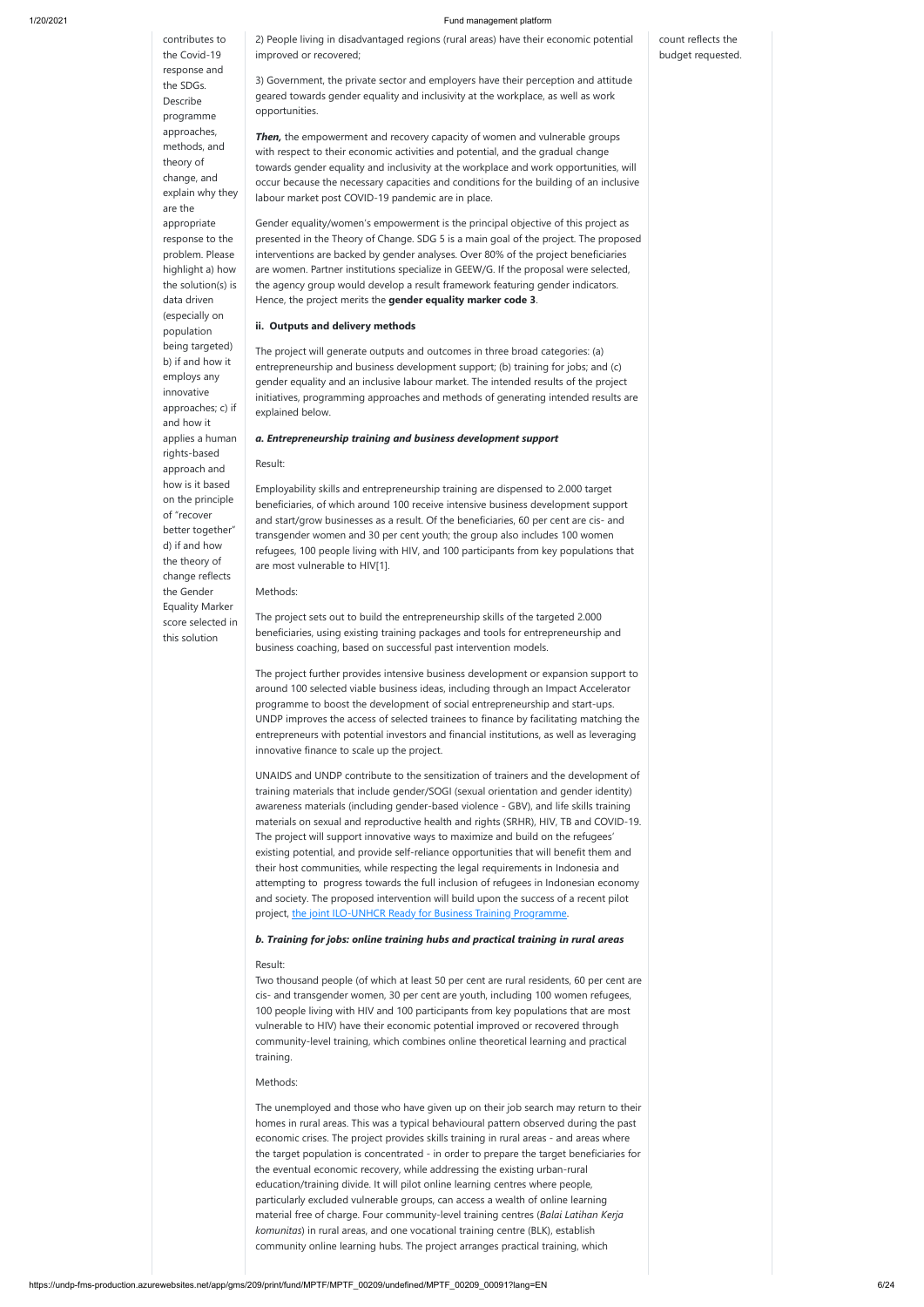## contributes to the Covid-19 response and the SDGs. Describe programme approaches, methods, and theory of change, and explain why they are the appropriate response to the problem. Please highlight a) how the solution(s) is data driven (especially on population being targeted) b) if and how it employs any innovative approaches; c) if and how it applies a human rights-based approach and how is it based on the principle of "recover better together" d) if and how the theory of change reflects the Gender Equality Marker score selected in this solution

**Then,** the empowerment and recovery capacity of women and vulnerable groups with respect to their economic activities and potential, and the gradual change towards gender equality and inclusivity at the workplace and work opportunities, will occur because the necessary capacities and conditions for the building of an inclusive labour market post COVID-19 pandemic are in place.

2) People living in disadvantaged regions (rural areas) have their economic potential improved or recovered;

3) Government, the private sector and employers have their perception and attitude geared towards gender equality and inclusivity at the workplace, as well as work opportunities.

Gender equality/women's empowerment is the principal objective of this project as presented in the Theory of Change. SDG 5 is a main goal of the project. The proposed interventions are backed by gender analyses. Over 80% of the project beneficiaries are women. Partner institutions specialize in GEEW/G. If the proposal were selected, the agency group would develop a result framework featuring gender indicators. Hence, the project merits the **gender equality marker code 3**.

UNAIDS and UNDP contribute to the sensitization of trainers and the development of training materials that include gender/SOGI (sexual orientation and gender identity) awareness materials (including gender-based violence - GBV), and life skills training materials on sexual and reproductive health and rights (SRHR), HIV, TB and COVID-19. The project will support innovative ways to maximize and build on the refugees' existing potential, and provide self-reliance opportunities that will benefit them and their host communities, while respecting the legal requirements in Indonesia and attempting to progress towards the full inclusion of refugees in Indonesian economy and society. The proposed intervention will build upon the success of a recent pilot project, [the joint ILO-UNHCR Ready for Business Training Programme](https://www.unhcr.org/id/13005-teaming-up-as-refugees-and-local-youth-get-creative-with-entrepreneurship.html).

### **ii. Outputs and delivery methods**

The project will generate outputs and outcomes in three broad categories: (a) entrepreneurship and business development support; (b) training for jobs; and (c) gender equality and an inclusive labour market. The intended results of the project initiatives, programming approaches and methods of generating intended results are explained below.

#### *a. Entrepreneurship training and business development support*

#### Result:

Employability skills and entrepreneurship training are dispensed to 2.000 target beneficiaries, of which around 100 receive intensive business development support and start/grow businesses as a result. Of the beneficiaries, 60 per cent are cis- and transgender women and 30 per cent youth; the group also includes 100 women refugees, 100 people living with HIV, and 100 participants from key populations that are most vulnerable to HIV[1].

#### Methods:

The project sets out to build the entrepreneurship skills of the targeted 2.000 beneficiaries, using existing training packages and tools for entrepreneurship and business coaching, based on successful past intervention models.

The project further provides intensive business development or expansion support to around 100 selected viable business ideas, including through an Impact Accelerator programme to boost the development of social entrepreneurship and start-ups. UNDP improves the access of selected trainees to finance by facilitating matching the entrepreneurs with potential investors and financial institutions, as well as leveraging innovative finance to scale up the project.

### *b. Training for jobs: online training hubs and practical training in rural areas*

### Result:

Two thousand people (of which at least 50 per cent are rural residents, 60 per cent are

cis- and transgender women, 30 per cent are youth, including 100 women refugees, 100 people living with HIV and 100 participants from key populations that are most vulnerable to HIV) have their economic potential improved or recovered through community-level training, which combines online theoretical learning and practical training.

#### Methods:

The unemployed and those who have given up on their job search may return to their homes in rural areas. This was a typical behavioural pattern observed during the past economic crises. The project provides skills training in rural areas - and areas where the target population is concentrated - in order to prepare the target beneficiaries for the eventual economic recovery, while addressing the existing urban-rural education/training divide. It will pilot online learning centres where people, particularly excluded vulnerable groups, can access a wealth of online learning material free of charge. Four community-level training centres (*Balai Latihan Kerja komunitas*) in rural areas, and one vocational training centre (BLK), establish community online learning hubs. The project arranges practical training, which

count reflects the budget requested.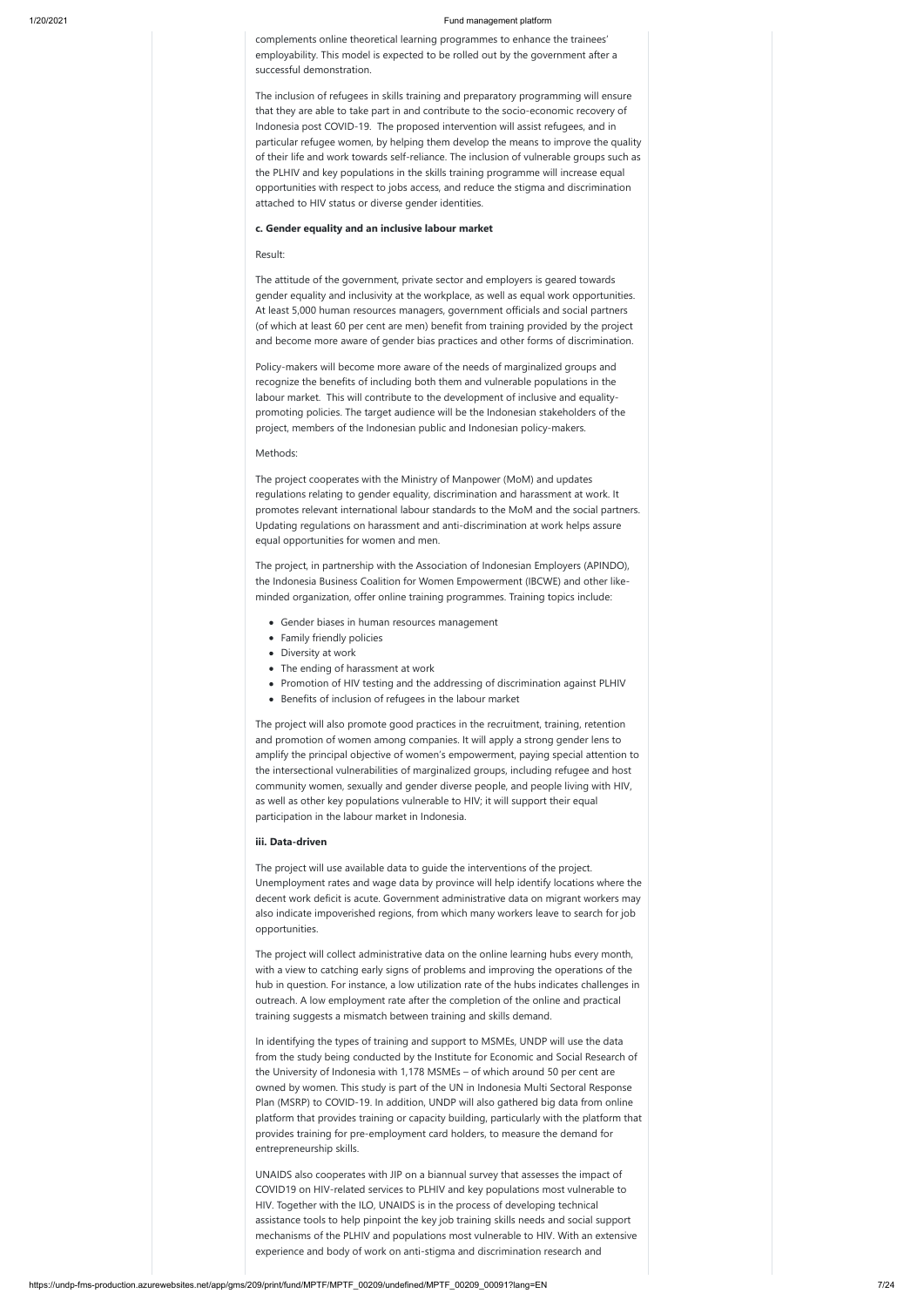complements online theoretical learning programmes to enhance the trainees' employability. This model is expected to be rolled out by the government after a successful demonstration.

The inclusion of refugees in skills training and preparatory programming will ensure that they are able to take part in and contribute to the socio-economic recovery of Indonesia post COVID-19. The proposed intervention will assist refugees, and in particular refugee women, by helping them develop the means to improve the quality of their life and work towards self-reliance. The inclusion of vulnerable groups such as the PLHIV and key populations in the skills training programme will increase equal opportunities with respect to jobs access, and reduce the stigma and discrimination attached to HIV status or diverse gender identities.

#### **c. Gender equality and an inclusive labour market**

#### Result:

The attitude of the government, private sector and employers is geared towards gender equality and inclusivity at the workplace, as well as equal work opportunities. At least 5,000 human resources managers, government officials and social partners (of which at least 60 per cent are men) benefit from training provided by the project and become more aware of gender bias practices and other forms of discrimination.

Policy-makers will become more aware of the needs of marginalized groups and recognize the benefits of including both them and vulnerable populations in the labour market. This will contribute to the development of inclusive and equalitypromoting policies. The target audience will be the Indonesian stakeholders of the project, members of the Indonesian public and Indonesian policy-makers.

#### Methods:

The project cooperates with the Ministry of Manpower (MoM) and updates regulations relating to gender equality, discrimination and harassment at work. It promotes relevant international labour standards to the MoM and the social partners. Updating regulations on harassment and anti-discrimination at work helps assure equal opportunities for women and men.

The project, in partnership with the Association of Indonesian Employers (APINDO), the Indonesia Business Coalition for Women Empowerment (IBCWE) and other likeminded organization, offer online training programmes. Training topics include:

- Gender biases in human resources management
- Family friendly policies
- Diversity at work
- The ending of harassment at work
- Promotion of HIV testing and the addressing of discrimination against PLHIV
- Benefits of inclusion of refugees in the labour market

The project will also promote good practices in the recruitment, training, retention and promotion of women among companies. It will apply a strong gender lens to amplify the principal objective of women's empowerment, paying special attention to the intersectional vulnerabilities of marginalized groups, including refugee and host community women, sexually and gender diverse people, and people living with HIV, as well as other key populations vulnerable to HIV; it will support their equal participation in the labour market in Indonesia.

#### **iii. Data-driven**

The project will use available data to guide the interventions of the project. Unemployment rates and wage data by province will help identify locations where the decent work deficit is acute. Government administrative data on migrant workers may also indicate impoverished regions, from which many workers leave to search for job opportunities.

The project will collect administrative data on the online learning hubs every month, with a view to catching early signs of problems and improving the operations of the hub in question. For instance, a low utilization rate of the hubs indicates challenges in outreach. A low employment rate after the completion of the online and practical training suggests a mismatch between training and skills demand.

In identifying the types of training and support to MSMEs, UNDP will use the data from the study being conducted by the Institute for Economic and Social Research of the University of Indonesia with 1,178 MSMEs – of which around 50 per cent are owned by women. This study is part of the UN in Indonesia Multi Sectoral Response Plan (MSRP) to COVID-19. In addition, UNDP will also gathered big data from online platform that provides training or capacity building, particularly with the platform that provides training for pre-employment card holders, to measure the demand for entrepreneurship skills.

UNAIDS also cooperates with JIP on a biannual survey that assesses the impact of COVID19 on HIV-related services to PLHIV and key populations most vulnerable to HIV. Together with the ILO, UNAIDS is in the process of developing technical assistance tools to help pinpoint the key job training skills needs and social support mechanisms of the PLHIV and populations most vulnerable to HIV. With an extensive experience and body of work on anti-stigma and discrimination research and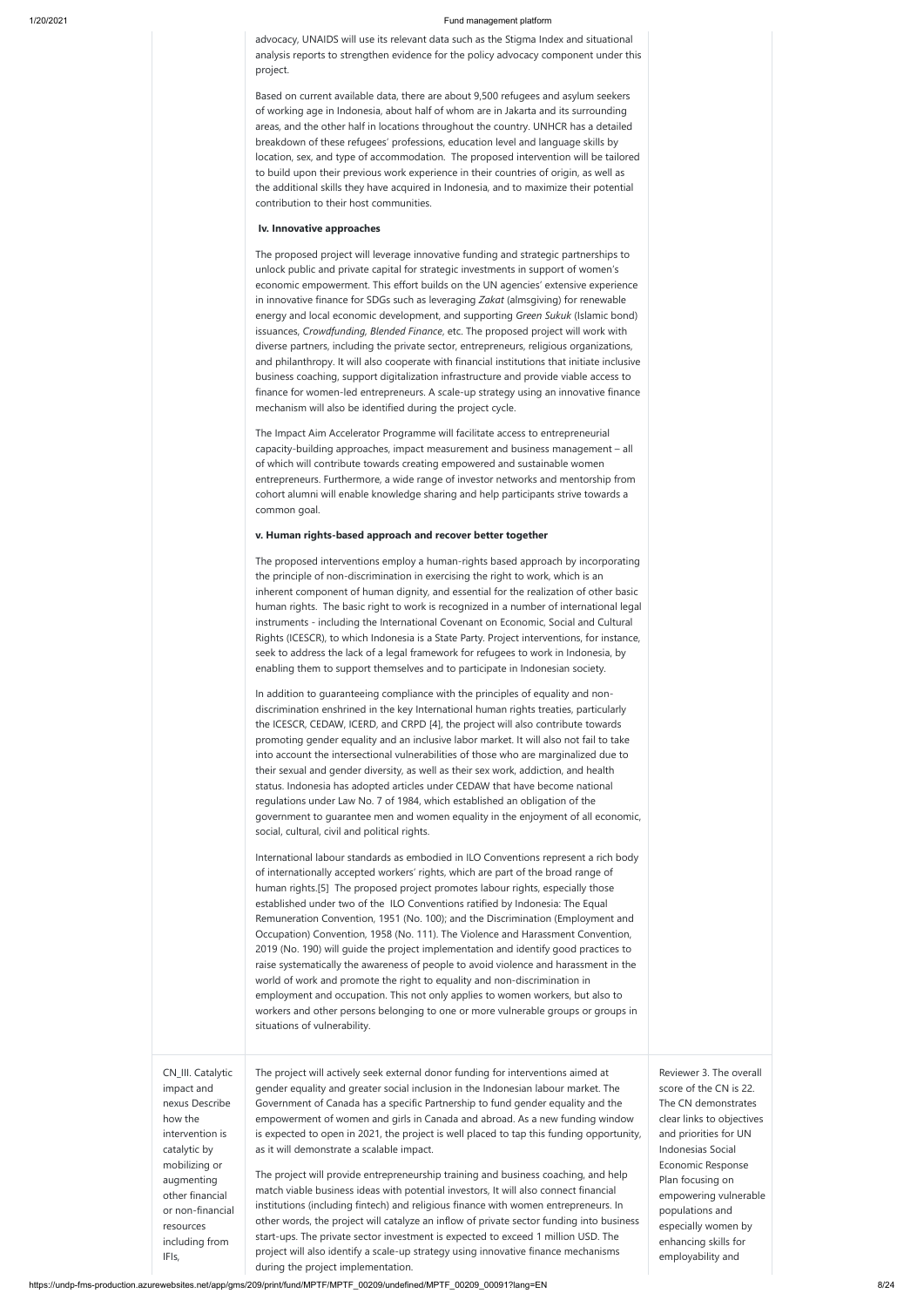https://undp-fms-production.azurewebsites.net/app/gms/209/print/fund/MPTF/MPTF\_00209/undefined/MPTF\_00209\_00091?lang=EN 8/24

advocacy, UNAIDS will use its relevant data such as the Stigma Index and situational analysis reports to strengthen evidence for the policy advocacy component under this project.

Based on current available data, there are about 9,500 refugees and asylum seekers of working age in Indonesia, about half of whom are in Jakarta and its surrounding areas, and the other half in locations throughout the country. UNHCR has a detailed breakdown of these refugees' professions, education level and language skills by location, sex, and type of accommodation. The proposed intervention will be tailored to build upon their previous work experience in their countries of origin, as well as the additional skills they have acquired in Indonesia, and to maximize their potential contribution to their host communities.

#### **Iv. Innovative approaches**

The proposed project will leverage innovative funding and strategic partnerships to unlock public and private capital for strategic investments in support of women's economic empowerment. This effort builds on the UN agencies' extensive experience in innovative finance for SDGs such as leveraging *Zakat* (almsgiving) for renewable energy and local economic development, and supporting *Green Sukuk* (Islamic bond) issuances, *Crowdfunding, Blended Finance*, etc. The proposed project will work with diverse partners, including the private sector, entrepreneurs, religious organizations, and philanthropy. It will also cooperate with financial institutions that initiate inclusive business coaching, support digitalization infrastructure and provide viable access to finance for women-led entrepreneurs. A scale-up strategy using an innovative finance mechanism will also be identified during the project cycle.

The Impact Aim Accelerator Programme will facilitate access to entrepreneurial capacity-building approaches, impact measurement and business management – all of which will contribute towards creating empowered and sustainable women entrepreneurs. Furthermore, a wide range of investor networks and mentorship from cohort alumni will enable knowledge sharing and help participants strive towards a common goal.

#### **v. Human rights-based approach and recover better together**

The proposed interventions employ a human-rights based approach by incorporating the principle of non-discrimination in exercising the right to work, which is an inherent component of human dignity, and essential for the realization of other basic human rights. The basic right to work is recognized in a number of international legal instruments - including the International Covenant on Economic, Social and Cultural Rights (ICESCR), to which Indonesia is a State Party. Project interventions, for instance, seek to address the lack of a legal framework for refugees to work in Indonesia, by enabling them to support themselves and to participate in Indonesian society.

In addition to guaranteeing compliance with the principles of equality and nondiscrimination enshrined in the key International human rights treaties, particularly the ICESCR, CEDAW, ICERD, and CRPD [4], the project will also contribute towards promoting gender equality and an inclusive labor market. It will also not fail to take into account the intersectional vulnerabilities of those who are marginalized due to their sexual and gender diversity, as well as their sex work, addiction, and health status. Indonesia has adopted articles under CEDAW that have become national regulations under Law No. 7 of 1984, which established an obligation of the government to guarantee men and women equality in the enjoyment of all economic, social, cultural, civil and political rights.

International labour standards as embodied in ILO Conventions represent a rich body of internationally accepted workers' rights, which are part of the broad range of human rights.[5] The proposed project promotes labour rights, especially those established under two of the ILO Conventions ratified by Indonesia: The Equal Remuneration Convention, 1951 (No. 100); and the Discrimination (Employment and Occupation) Convention, 1958 (No. 111). The Violence and Harassment Convention, 2019 (No. 190) will guide the project implementation and identify good practices to raise systematically the awareness of people to avoid violence and harassment in the world of work and promote the right to equality and non-discrimination in

|                   | employment and occupation. This not only applies to women workers, but also to<br>workers and other persons belonging to one or more vulnerable groups or groups in<br>situations of vulnerability. |                           |
|-------------------|-----------------------------------------------------------------------------------------------------------------------------------------------------------------------------------------------------|---------------------------|
| CN_III. Catalytic | The project will actively seek external donor funding for interventions aimed at                                                                                                                    | Reviewer 3. The overall   |
| impact and        | gender equality and greater social inclusion in the Indonesian labour market. The                                                                                                                   | score of the CN is 22.    |
| nexus Describe    | Government of Canada has a specific Partnership to fund gender equality and the                                                                                                                     | The CN demonstrates       |
| how the           | empowerment of women and girls in Canada and abroad. As a new funding window                                                                                                                        | clear links to objectives |
| intervention is   | is expected to open in 2021, the project is well placed to tap this funding opportunity,                                                                                                            | and priorities for UN     |
| catalytic by      | as it will demonstrate a scalable impact.                                                                                                                                                           | Indonesias Social         |
| mobilizing or     | The project will provide entrepreneurship training and business coaching, and help                                                                                                                  | Economic Response         |
| augmenting        | match viable business ideas with potential investors, It will also connect financial                                                                                                                | Plan focusing on          |
| other financial   | institutions (including fintech) and religious finance with women entrepreneurs. In                                                                                                                 | empowering vulnerable     |
| or non-financial  | other words, the project will catalyze an inflow of private sector funding into business                                                                                                            | populations and           |
| resources         | start-ups. The private sector investment is expected to exceed 1 million USD. The                                                                                                                   | especially women by       |
| including from    | project will also identify a scale-up strategy using innovative finance mechanisms                                                                                                                  | enhancing skills for      |
| IFIs,             | during the project implementation.                                                                                                                                                                  | employability and         |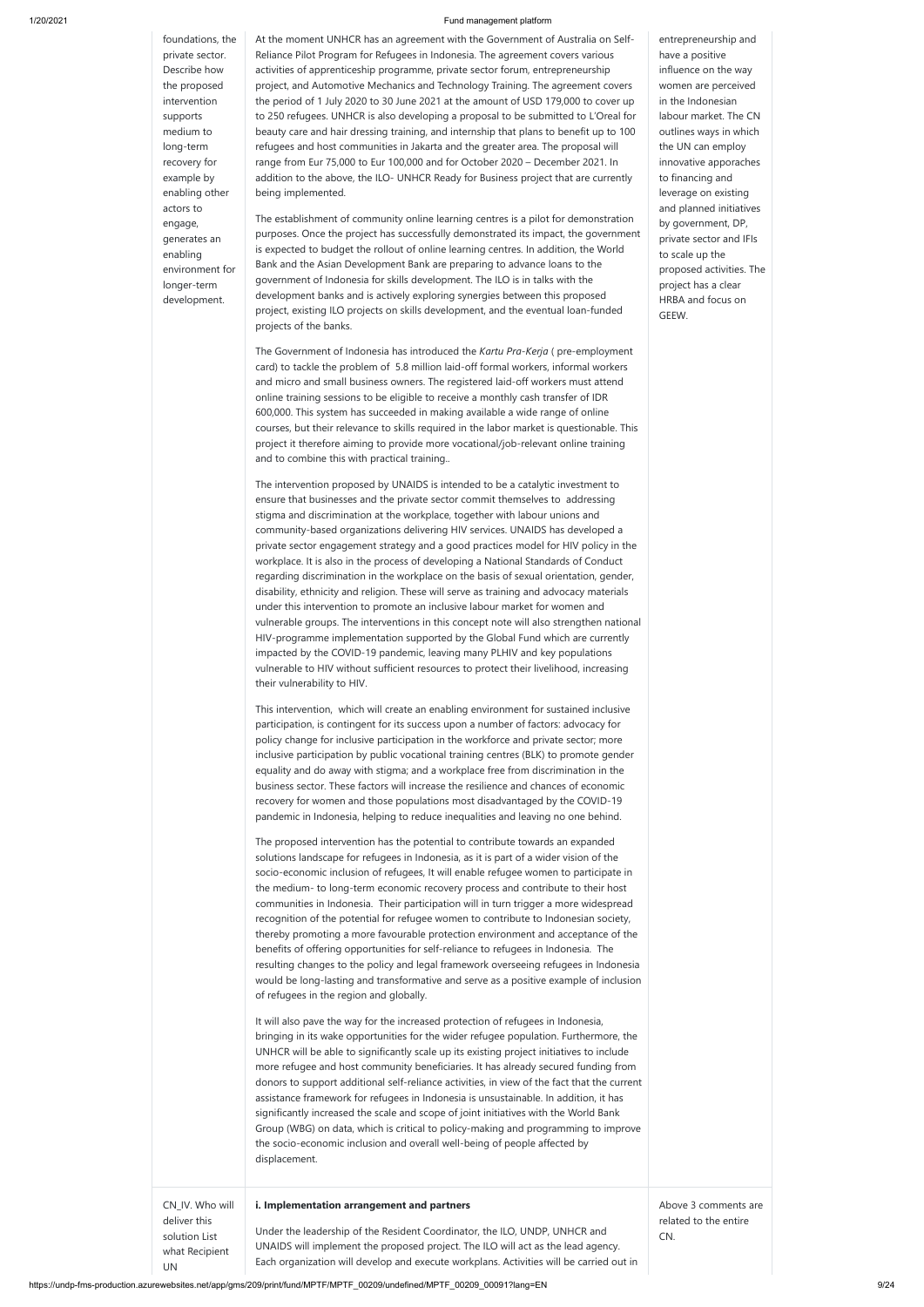https://undp-fms-production.azurewebsites.net/app/gms/209/print/fund/MPTF/MPTF\_00209/undefined/MPTF\_00209\_00091?lang=EN 9/24

 $\mathsf{l}$ 

foundations, the private sector. Describe how the proposed intervention supports medium to long-term recovery for example by enabling other actors to engage, generates an enabling environment for longer-term development.

At the moment UNHCR has an agreement with the Government of Australia on Self-Reliance Pilot Program for Refugees in Indonesia. The agreement covers various activities of apprenticeship programme, private sector forum, entrepreneurship project, and Automotive Mechanics and Technology Training. The agreement covers the period of 1 July 2020 to 30 June 2021 at the amount of USD 179,000 to cover up to 250 refugees. UNHCR is also developing a proposal to be submitted to L'Oreal for beauty care and hair dressing training, and internship that plans to benefit up to 100 refugees and host communities in Jakarta and the greater area. The proposal will range from Eur 75,000 to Eur 100,000 and for October 2020 – December 2021. In addition to the above, the ILO- UNHCR Ready for Business project that are currently being implemented.

The establishment of community online learning centres is a pilot for demonstration purposes. Once the project has successfully demonstrated its impact, the government is expected to budget the rollout of online learning centres. In addition, the World Bank and the Asian Development Bank are preparing to advance loans to the government of Indonesia for skills development. The ILO is in talks with the development banks and is actively exploring synergies between this proposed project, existing ILO projects on skills development, and the eventual loan-funded projects of the banks.

The Government of Indonesia has introduced the *Kartu Pra-Kerja* ( pre-employment card) to tackle the problem of 5.8 million laid-off formal workers, informal workers and micro and small business owners. The registered laid-off workers must attend online training sessions to be eligible to receive a monthly cash transfer of IDR 600,000. This system has succeeded in making available a wide range of online courses, but their relevance to skills required in the labor market is questionable. This project it therefore aiming to provide more vocational/job-relevant online training and to combine this with practical training..

The intervention proposed by UNAIDS is intended to be a catalytic investment to ensure that businesses and the private sector commit themselves to addressing stigma and discrimination at the workplace, together with labour unions and community-based organizations delivering HIV services. UNAIDS has developed a private sector engagement strategy and a good practices model for HIV policy in the workplace. It is also in the process of developing a National Standards of Conduct regarding discrimination in the workplace on the basis of sexual orientation, gender, disability, ethnicity and religion. These will serve as training and advocacy materials under this intervention to promote an inclusive labour market for women and vulnerable groups. The interventions in this concept note will also strengthen national HIV-programme implementation supported by the Global Fund which are currently impacted by the COVID-19 pandemic, leaving many PLHIV and key populations vulnerable to HIV without sufficient resources to protect their livelihood, increasing their vulnerability to HIV.

This intervention, which will create an enabling environment for sustained inclusive participation, is contingent for its success upon a number of factors: advocacy for policy change for inclusive participation in the workforce and private sector; more inclusive participation by public vocational training centres (BLK) to promote gender equality and do away with stigma; and a workplace free from discrimination in the business sector. These factors will increase the resilience and chances of economic recovery for women and those populations most disadvantaged by the COVID-19 pandemic in Indonesia, helping to reduce inequalities and leaving no one behind.

The proposed intervention has the potential to contribute towards an expanded solutions landscape for refugees in Indonesia, as it is part of a wider vision of the socio-economic inclusion of refugees, It will enable refugee women to participate in the medium- to long-term economic recovery process and contribute to their host communities in Indonesia. Their participation will in turn trigger a more widespread recognition of the potential for refugee women to contribute to Indonesian society, thereby promoting a more favourable protection environment and acceptance of the benefits of offering opportunities for self-reliance to refugees in Indonesia. The resulting changes to the policy and legal framework overseeing refugees in Indonesia would be long-lasting and transformative and serve as a positive example of inclusion

of refugees in the region and globally.

|                                                                          | It will also pave the way for the increased protection of refugees in Indonesia,<br>bringing in its wake opportunities for the wider refugee population. Furthermore, the<br>UNHCR will be able to significantly scale up its existing project initiatives to include<br>more refugee and host community beneficiaries. It has already secured funding from<br>donors to support additional self-reliance activities, in view of the fact that the current<br>assistance framework for refugees in Indonesia is unsustainable. In addition, it has<br>significantly increased the scale and scope of joint initiatives with the World Bank<br>Group (WBG) on data, which is critical to policy-making and programming to improve<br>the socio-economic inclusion and overall well-being of people affected by<br>displacement. |                                                      |  |
|--------------------------------------------------------------------------|--------------------------------------------------------------------------------------------------------------------------------------------------------------------------------------------------------------------------------------------------------------------------------------------------------------------------------------------------------------------------------------------------------------------------------------------------------------------------------------------------------------------------------------------------------------------------------------------------------------------------------------------------------------------------------------------------------------------------------------------------------------------------------------------------------------------------------|------------------------------------------------------|--|
| CN_IV. Who will<br>deliver this<br>solution List<br>what Recipient<br>UN | i. Implementation arrangement and partners<br>Under the leadership of the Resident Coordinator, the ILO, UNDP, UNHCR and<br>UNAIDS will implement the proposed project. The ILO will act as the lead agency.<br>Each organization will develop and execute workplans. Activities will be carried out in                                                                                                                                                                                                                                                                                                                                                                                                                                                                                                                        | Above 3 comments are<br>related to the entire<br>CN. |  |

entrepreneurship and have a positive influence on the way women are perceived in the Indonesian labour market. The CN outlines ways in which the UN can employ innovative apporaches to financing and leverage on existing and planned initiatives by government, DP, private sector and IFIs to scale up the proposed activities. The project has a clear HRBA and focus on GEEW.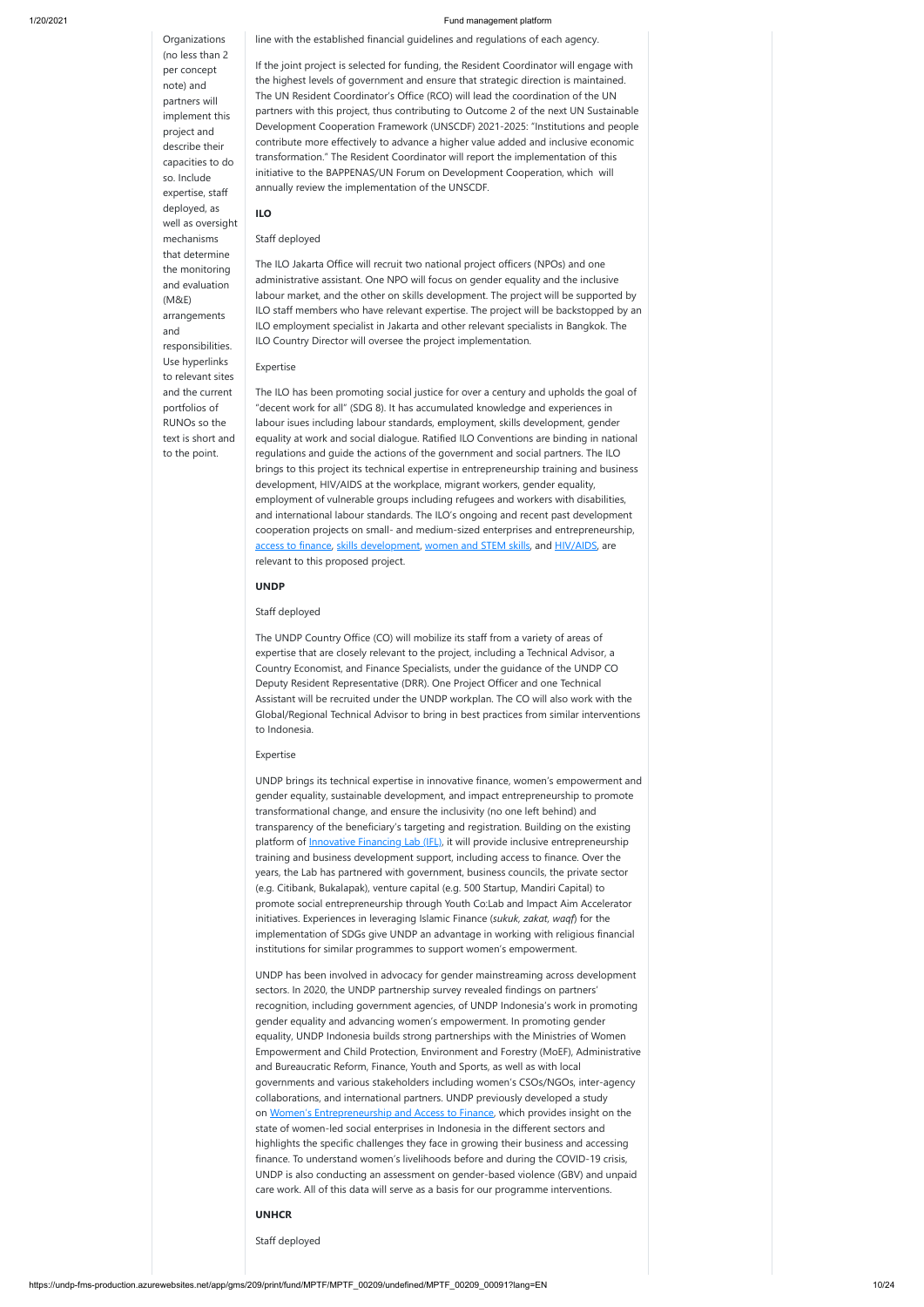**Organizations** (no less than 2 per concept note) and partners will implement this project and describe their capacities to do so. Include expertise, staff deployed, as well as oversight mechanisms that determine the monitoring and evaluation (M&E) arrangements and responsibilities. Use hyperlinks to relevant sites and the current portfolios of RUNOs so the text is short and to the point.

line with the established financial guidelines and regulations of each agency.

If the joint project is selected for funding, the Resident Coordinator will engage with the highest levels of government and ensure that strategic direction is maintained. The UN Resident Coordinator's Office (RCO) will lead the coordination of the UN partners with this project, thus contributing to Outcome 2 of the next UN Sustainable Development Cooperation Framework (UNSCDF) 2021-2025: "Institutions and people contribute more effectively to advance a higher value added and inclusive economic transformation." The Resident Coordinator will report the implementation of this initiative to the BAPPENAS/UN Forum on Development Cooperation, which will annually review the implementation of the UNSCDF.

### **ILO**

#### Staff deployed

The ILO Jakarta Office will recruit two national project officers (NPOs) and one administrative assistant. One NPO will focus on gender equality and the inclusive labour market, and the other on skills development. The project will be supported by ILO staff members who have relevant expertise. The project will be backstopped by an ILO employment specialist in Jakarta and other relevant specialists in Bangkok. The ILO Country Director will oversee the project implementation.

#### Expertise

The ILO has been promoting social justice for over a century and upholds the goal of "decent work for all" (SDG 8). It has accumulated knowledge and experiences in labour isues including labour standards, employment, skills development, gender equality at work and social dialogue. Ratified ILO Conventions are binding in national regulations and guide the actions of the government and social partners. The ILO brings to this project its technical expertise in entrepreneurship training and business development, HIV/AIDS at the workplace, migrant workers, gender equality, employment of vulnerable groups including refugees and workers with disabilities, and international labour standards. The ILO's ongoing and recent past development cooperation projects on small- and medium-sized enterprises and entrepreneurship, [access to finance,](https://www.ilo.org/jakarta/whatwedo/projects/WCMS_444105/lang--en/index.htm) [skills development](https://www.ilo.org/jakarta/whatwedo/projects/WCMS_751714/lang--en/index.htm), [women and STEM skills,](https://www.ilo.org/jakarta/whatwedo/projects/WCMS_624553/lang--en/index.htm) and [HIV/AIDS,](https://www.ilo.org/jakarta/whatwedo/projects/WCMS_737618/lang--en/index.htm) are relevant to this proposed project.

#### **UNDP**

#### Staff deployed

The UNDP Country Office (CO) will mobilize its staff from a variety of areas of expertise that are closely relevant to the project, including a Technical Advisor, a Country Economist, and Finance Specialists, under the guidance of the UNDP CO Deputy Resident Representative (DRR). One Project Officer and one Technical Assistant will be recruited under the UNDP workplan. The CO will also work with the Global/Regional Technical Advisor to bring in best practices from similar interventions to Indonesia.

#### Expertise

UNDP brings its technical expertise in innovative finance, women's empowerment and gender equality, sustainable development, and impact entrepreneurship to promote transformational change, and ensure the inclusivity (no one left behind) and transparency of the beneficiary's targeting and registration. Building on the existing platform of **[Innovative Financing Lab \(IFL\)](file:///C:/Users/MUHAMM~1.HAR/AppData/Local/Temp/INS-UNDP%20Indonesia%20Innovative%20Financing%20Lab.pdf)**, it will provide inclusive entrepreneurship training and business development support, including access to finance. Over the years, the Lab has partnered with government, business councils, the private sector (e.g. Citibank, Bukalapak), venture capital (e.g. 500 Startup, Mandiri Capital) to promote social entrepreneurship through Youth Co:Lab and Impact Aim Accelerator initiatives. Experiences in leveraging Islamic Finance (*sukuk, zakat, waqf*) for the implementation of SDGs give UNDP an advantage in working with religious financial institutions for similar programmes to support women's empowerment.

UNDP has been involved in advocacy for gender mainstreaming across development

sectors. In 2020, the UNDP partnership survey revealed findings on partners' recognition, including government agencies, of UNDP Indonesia's work in promoting gender equality and advancing women's empowerment. In promoting gender equality, UNDP Indonesia builds strong partnerships with the Ministries of Women Empowerment and Child Protection, Environment and Forestry (MoEF), Administrative and Bureaucratic Reform, Finance, Youth and Sports, as well as with local governments and various stakeholders including women's CSOs/NGOs, inter-agency collaborations, and international partners. UNDP previously developed a study on [Women's Entrepreneurship and Access to Finance,](https://www.id.undp.org/content/indonesia/en/home/library/womens_empowerment/women_s-entrepreneurship-and-access-to-finance.html) which provides insight on the state of women-led social enterprises in Indonesia in the different sectors and highlights the specific challenges they face in growing their business and accessing finance. To understand women's livelihoods before and during the COVID-19 crisis, UNDP is also conducting an assessment on gender-based violence (GBV) and unpaid care work. All of this data will serve as a basis for our programme interventions.

### **UNHCR**

#### Staff deployed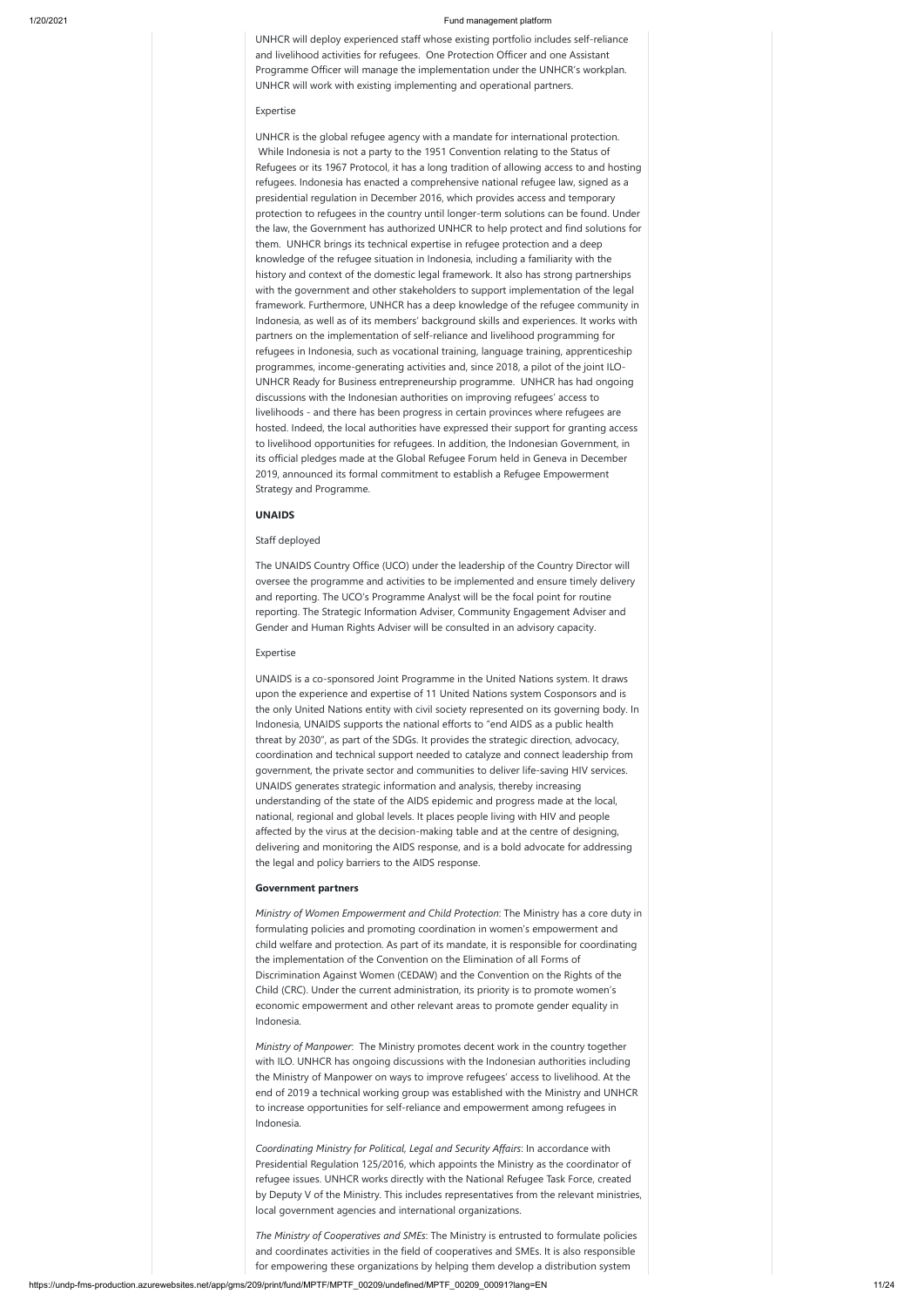UNHCR will deploy experienced staff whose existing portfolio includes self-reliance and livelihood activities for refugees. One Protection Officer and one Assistant Programme Officer will manage the implementation under the UNHCR's workplan. UNHCR will work with existing implementing and operational partners.

#### Expertise

UNHCR is the global refugee agency with a mandate for international protection. While Indonesia is not a party to the 1951 Convention relating to the Status of Refugees or its 1967 Protocol, it has a long tradition of allowing access to and hosting refugees. Indonesia has enacted a comprehensive national refugee law, signed as a presidential regulation in December 2016, which provides access and temporary protection to refugees in the country until longer-term solutions can be found. Under the law, the Government has authorized UNHCR to help protect and find solutions for them. UNHCR brings its technical expertise in refugee protection and a deep knowledge of the refugee situation in Indonesia, including a familiarity with the history and context of the domestic legal framework. It also has strong partnerships with the government and other stakeholders to support implementation of the legal framework. Furthermore, UNHCR has a deep knowledge of the refugee community in Indonesia, as well as of its members' background skills and experiences. It works with partners on the implementation of self-reliance and livelihood programming for refugees in Indonesia, such as vocational training, language training, apprenticeship programmes, income-generating activities and, since 2018, a pilot of the joint ILO-UNHCR Ready for Business entrepreneurship programme. UNHCR has had ongoing discussions with the Indonesian authorities on improving refugees' access to livelihoods - and there has been progress in certain provinces where refugees are hosted. Indeed, the local authorities have expressed their support for granting access to livelihood opportunities for refugees. In addition, the Indonesian Government, in its official pledges made at the Global Refugee Forum held in Geneva in December 2019, announced its formal commitment to establish a Refugee Empowerment Strategy and Programme.

#### **UNAIDS**

#### Staff deployed

The UNAIDS Country Office (UCO) under the leadership of the Country Director will oversee the programme and activities to be implemented and ensure timely delivery and reporting. The UCO's Programme Analyst will be the focal point for routine reporting. The Strategic Information Adviser, Community Engagement Adviser and Gender and Human Rights Adviser will be consulted in an advisory capacity.

#### Expertise

UNAIDS is a co-sponsored Joint Programme in the United Nations system. It draws upon the experience and expertise of 11 United Nations system Cosponsors and is the only United Nations entity with civil society represented on its governing body. In Indonesia, UNAIDS supports the national efforts to "end AIDS as a public health threat by 2030", as part of the SDGs. It provides the strategic direction, advocacy, coordination and technical support needed to catalyze and connect leadership from government, the private sector and communities to deliver life-saving HIV services. UNAIDS generates strategic information and analysis, thereby increasing understanding of the state of the AIDS epidemic and progress made at the local, national, regional and global levels. It places people living with HIV and people affected by the virus at the decision-making table and at the centre of designing, delivering and monitoring the AIDS response, and is a bold advocate for addressing the legal and policy barriers to the AIDS response.

#### **Government partners**

*Ministry of Women Empowerment and Child Protection*: The Ministry has a core duty in formulating policies and promoting coordination in women's empowerment and child welfare and protection. As part of its mandate, it is responsible for coordinating the implementation of the Convention on the Elimination of all Forms of Discrimination Against Women (CEDAW) and the Convention on the Rights of the

Child (CRC). Under the current administration, its priority is to promote women's economic empowerment and other relevant areas to promote gender equality in Indonesia.

*Ministry of Manpower*: The Ministry promotes decent work in the country together with ILO. UNHCR has ongoing discussions with the Indonesian authorities including the Ministry of Manpower on ways to improve refugees' access to livelihood. At the end of 2019 a technical working group was established with the Ministry and UNHCR to increase opportunities for self-reliance and empowerment among refugees in Indonesia.

*Coordinating Ministry for Political, Legal and Security Affairs*: In accordance with Presidential Regulation 125/2016, which appoints the Ministry as the coordinator of refugee issues. UNHCR works directly with the National Refugee Task Force, created by Deputy V of the Ministry. This includes representatives from the relevant ministries, local government agencies and international organizations.

*The Ministry of Cooperatives and SMEs*: The Ministry is entrusted to formulate policies and coordinates activities in the field of cooperatives and SMEs. It is also responsible for empowering these organizations by helping them develop a distribution system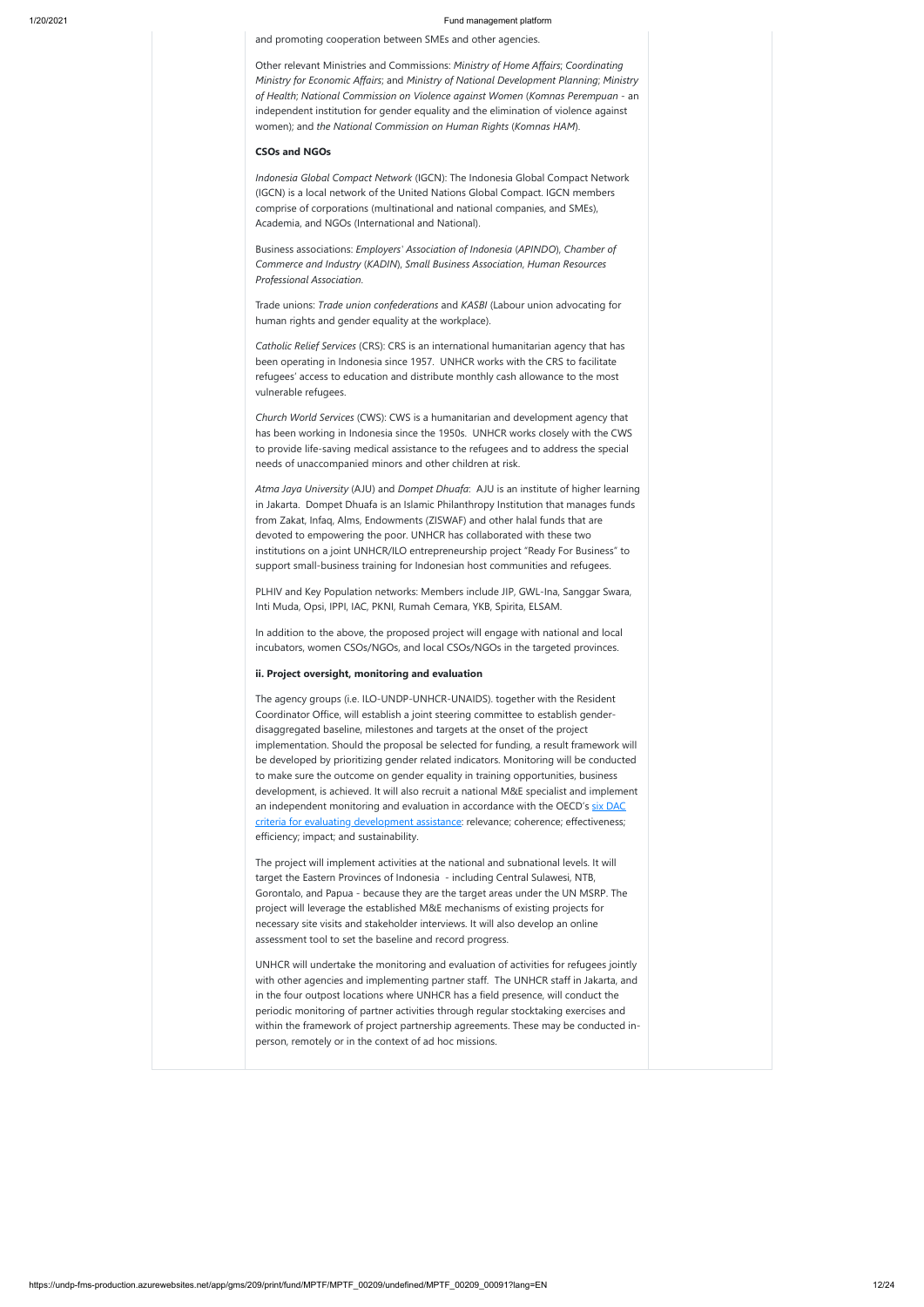and promoting cooperation between SMEs and other agencies.

Other relevant Ministries and Commissions: *Ministry of Home Affairs*; *Coordinating Ministry for Economic Affairs*; and *Ministry of National Development Planning*; *Ministry of Health*; *National Commission on Violence against Women* (*Komnas Perempuan* - an independent institution for gender equality and the elimination of violence against women); and *the National Commission on Human Rights* (*Komnas HAM*).

#### **CSOs and NGOs**

*Indonesia Global Compact Network* (IGCN): The Indonesia Global Compact Network (IGCN) is a local network of the United Nations Global Compact. IGCN members comprise of corporations (multinational and national companies, and SMEs), Academia, and NGOs (International and National).

Business associations: *Employers' Association of Indonesia* (*APINDO*), *Chamber of Commerce and Industry* (*KADIN*), *Small Business Association*, *Human Resources Professional Association*.

Trade unions: *Trade union confederations* and *KASBI* (Labour union advocating for human rights and gender equality at the workplace).

*Catholic Relief Services* (CRS): CRS is an international humanitarian agency that has been operating in Indonesia since 1957. UNHCR works with the CRS to facilitate refugees' access to education and distribute monthly cash allowance to the most vulnerable refugees.

*Church World Services* (CWS): CWS is a humanitarian and development agency that has been working in Indonesia since the 1950s. UNHCR works closely with the CWS to provide life-saving medical assistance to the refugees and to address the special needs of unaccompanied minors and other children at risk.

*Atma Jaya University* (AJU) and *Dompet Dhuafa*: AJU is an institute of higher learning in Jakarta. Dompet Dhuafa is an Islamic Philanthropy Institution that manages funds from Zakat, Infaq, Alms, Endowments (ZISWAF) and other halal funds that are devoted to empowering the poor. UNHCR has collaborated with these two institutions on a joint UNHCR/ILO entrepreneurship project "Ready For Business" to support small-business training for Indonesian host communities and refugees.

PLHIV and Key Population networks: Members include JIP, GWL-Ina, Sanggar Swara, Inti Muda, Opsi, IPPI, IAC, PKNI, Rumah Cemara, YKB, Spirita, ELSAM.

In addition to the above, the proposed project will engage with national and local incubators, women CSOs/NGOs, and local CSOs/NGOs in the targeted provinces.

### **ii. Project oversight, monitoring and evaluation**

The agency groups (i.e. ILO-UNDP-UNHCR-UNAIDS). together with the Resident Coordinator Office, will establish a joint steering committee to establish genderdisaggregated baseline, milestones and targets at the onset of the project implementation. Should the proposal be selected for funding, a result framework will be developed by prioritizing gender related indicators. Monitoring will be conducted to make sure the outcome on gender equality in training opportunities, business development, is achieved. It will also recruit a national M&E specialist and implement [an independent monitoring and evaluation in accordance with the OECD's six DAC](https://www.oecd.org/dac/evaluation/daccriteriaforevaluatingdevelopmentassistance.htm) criteria for evaluating development assistance: relevance; coherence; effectiveness; efficiency; impact; and sustainability.

The project will implement activities at the national and subnational levels. It will target the Eastern Provinces of Indonesia - including Central Sulawesi, NTB, Gorontalo, and Papua - because they are the target areas under the UN MSRP. The project will leverage the established M&E mechanisms of existing projects for necessary site visits and stakeholder interviews. It will also develop an online assessment tool to set the baseline and record progress.

UNHCR will undertake the monitoring and evaluation of activities for refugees jointly with other agencies and implementing partner staff. The UNHCR staff in Jakarta, and

in the four outpost locations where UNHCR has a field presence, will conduct the periodic monitoring of partner activities through regular stocktaking exercises and within the framework of project partnership agreements. These may be conducted inperson, remotely or in the context of ad hoc missions.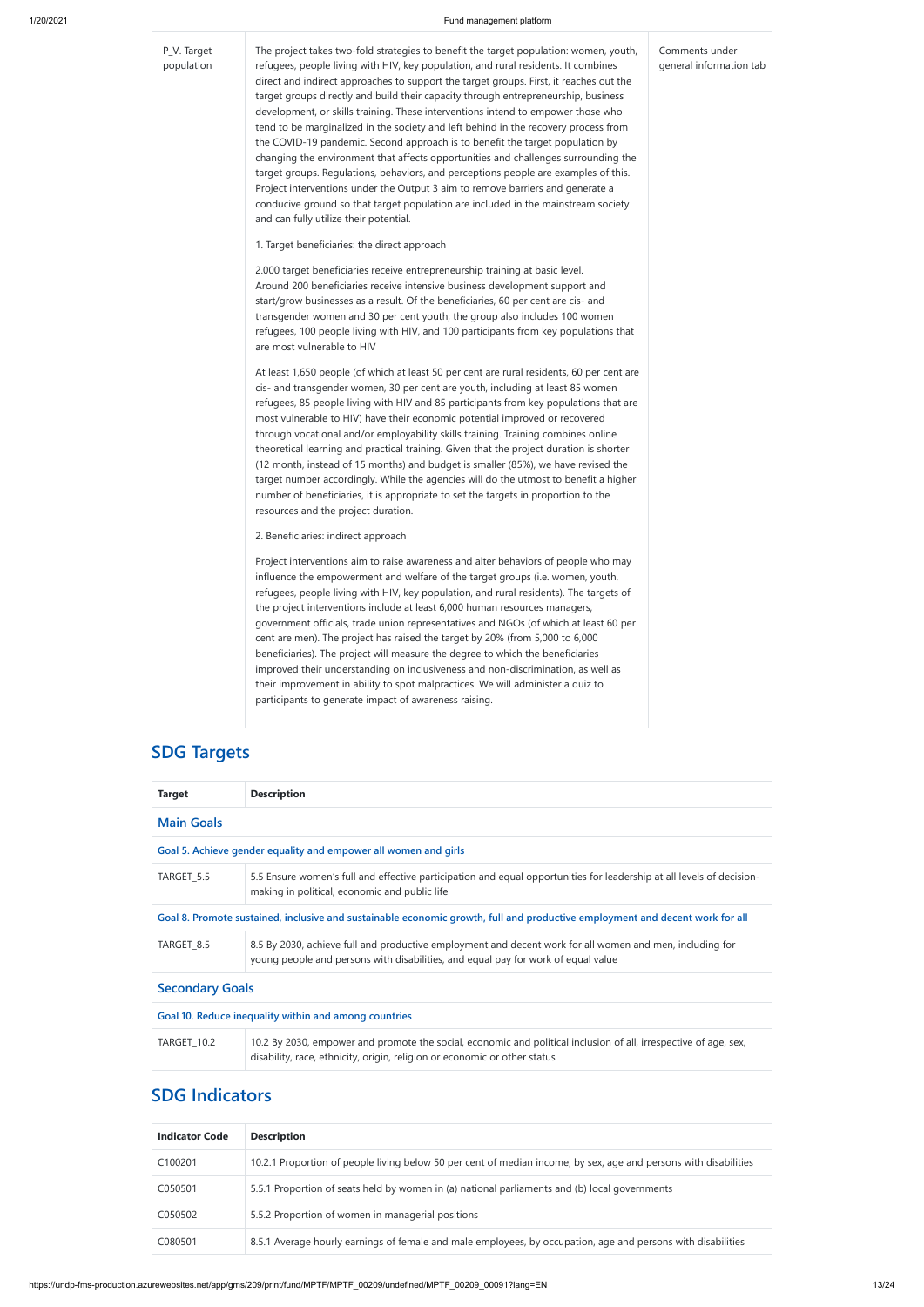## $P_V$ .

## 1/20/2021 Fund management platform

| P_V. Target<br>population | The project takes two-fold strategies to benefit the target population: women, youth,<br>refugees, people living with HIV, key population, and rural residents. It combines<br>direct and indirect approaches to support the target groups. First, it reaches out the<br>target groups directly and build their capacity through entrepreneurship, business<br>development, or skills training. These interventions intend to empower those who<br>tend to be marginalized in the society and left behind in the recovery process from<br>the COVID-19 pandemic. Second approach is to benefit the target population by<br>changing the environment that affects opportunities and challenges surrounding the<br>target groups. Regulations, behaviors, and perceptions people are examples of this.<br>Project interventions under the Output 3 aim to remove barriers and generate a<br>conducive ground so that target population are included in the mainstream society<br>and can fully utilize their potential. | Comments under<br>general information tab |
|---------------------------|-----------------------------------------------------------------------------------------------------------------------------------------------------------------------------------------------------------------------------------------------------------------------------------------------------------------------------------------------------------------------------------------------------------------------------------------------------------------------------------------------------------------------------------------------------------------------------------------------------------------------------------------------------------------------------------------------------------------------------------------------------------------------------------------------------------------------------------------------------------------------------------------------------------------------------------------------------------------------------------------------------------------------|-------------------------------------------|
|                           | 1. Target beneficiaries: the direct approach                                                                                                                                                                                                                                                                                                                                                                                                                                                                                                                                                                                                                                                                                                                                                                                                                                                                                                                                                                          |                                           |
|                           | 2.000 target beneficiaries receive entrepreneurship training at basic level.<br>Around 200 beneficiaries receive intensive business development support and<br>start/grow businesses as a result. Of the beneficiaries, 60 per cent are cis- and<br>transgender women and 30 per cent youth; the group also includes 100 women<br>refugees, 100 people living with HIV, and 100 participants from key populations that<br>are most vulnerable to HIV<br>At least 1,650 people (of which at least 50 per cent are rural residents, 60 per cent are<br>cis- and transgender women, 30 per cent are youth, including at least 85 women<br>refugees, 85 people living with HIV and 85 participants from key populations that are                                                                                                                                                                                                                                                                                          |                                           |
|                           | most vulnerable to HIV) have their economic potential improved or recovered<br>through vocational and/or employability skills training. Training combines online<br>theoretical learning and practical training. Given that the project duration is shorter<br>(12 month, instead of 15 months) and budget is smaller (85%), we have revised the<br>target number accordingly. While the agencies will do the utmost to benefit a higher<br>number of beneficiaries, it is appropriate to set the targets in proportion to the<br>resources and the project duration.                                                                                                                                                                                                                                                                                                                                                                                                                                                 |                                           |
|                           | 2. Beneficiaries: indirect approach                                                                                                                                                                                                                                                                                                                                                                                                                                                                                                                                                                                                                                                                                                                                                                                                                                                                                                                                                                                   |                                           |
|                           | Project interventions aim to raise awareness and alter behaviors of people who may<br>influence the empowerment and welfare of the target groups (i.e. women, youth,<br>refugees, people living with HIV, key population, and rural residents). The targets of<br>the project interventions include at least 6,000 human resources managers,<br>government officials, trade union representatives and NGOs (of which at least 60 per<br>cent are men). The project has raised the target by 20% (from 5,000 to 6,000<br>beneficiaries). The project will measure the degree to which the beneficiaries<br>improved their understanding on inclusiveness and non-discrimination, as well as<br>their improvement in ability to spot malpractices. We will administer a quiz to<br>participants to generate impact of awareness raising.                                                                                                                                                                                |                                           |

# **SDG Targets**

| <b>Target</b>                                                                                                                                                                                                | <b>Description</b>                                                                                                                                                                            |  |  |  |
|--------------------------------------------------------------------------------------------------------------------------------------------------------------------------------------------------------------|-----------------------------------------------------------------------------------------------------------------------------------------------------------------------------------------------|--|--|--|
| <b>Main Goals</b>                                                                                                                                                                                            |                                                                                                                                                                                               |  |  |  |
|                                                                                                                                                                                                              | Goal 5. Achieve gender equality and empower all women and girls                                                                                                                               |  |  |  |
| TARGET_5.5                                                                                                                                                                                                   | 5.5 Ensure women's full and effective participation and equal opportunities for leadership at all levels of decision-<br>making in political, economic and public life                        |  |  |  |
| Goal 8. Promote sustained, inclusive and sustainable economic growth, full and productive employment and decent work for all                                                                                 |                                                                                                                                                                                               |  |  |  |
| TARGET_8.5                                                                                                                                                                                                   | 8.5 By 2030, achieve full and productive employment and decent work for all women and men, including for<br>young people and persons with disabilities, and equal pay for work of equal value |  |  |  |
| <b>Secondary Goals</b>                                                                                                                                                                                       |                                                                                                                                                                                               |  |  |  |
| Goal 10. Reduce inequality within and among countries                                                                                                                                                        |                                                                                                                                                                                               |  |  |  |
| TARGET_10.2<br>10.2 By 2030, empower and promote the social, economic and political inclusion of all, irrespective of age, sex,<br>disability, race, ethnicity, origin, religion or economic or other status |                                                                                                                                                                                               |  |  |  |

## **SDG Indicators**

| <b>Indicator Code</b> | <b>Description</b>                                                                                               |
|-----------------------|------------------------------------------------------------------------------------------------------------------|
| C100201               | 10.2.1 Proportion of people living below 50 per cent of median income, by sex, age and persons with disabilities |
| C050501               | 5.5.1 Proportion of seats held by women in (a) national parliaments and (b) local governments                    |
| C050502               | 5.5.2 Proportion of women in managerial positions                                                                |
| C080501               | 8.5.1 Average hourly earnings of female and male employees, by occupation, age and persons with disabilities     |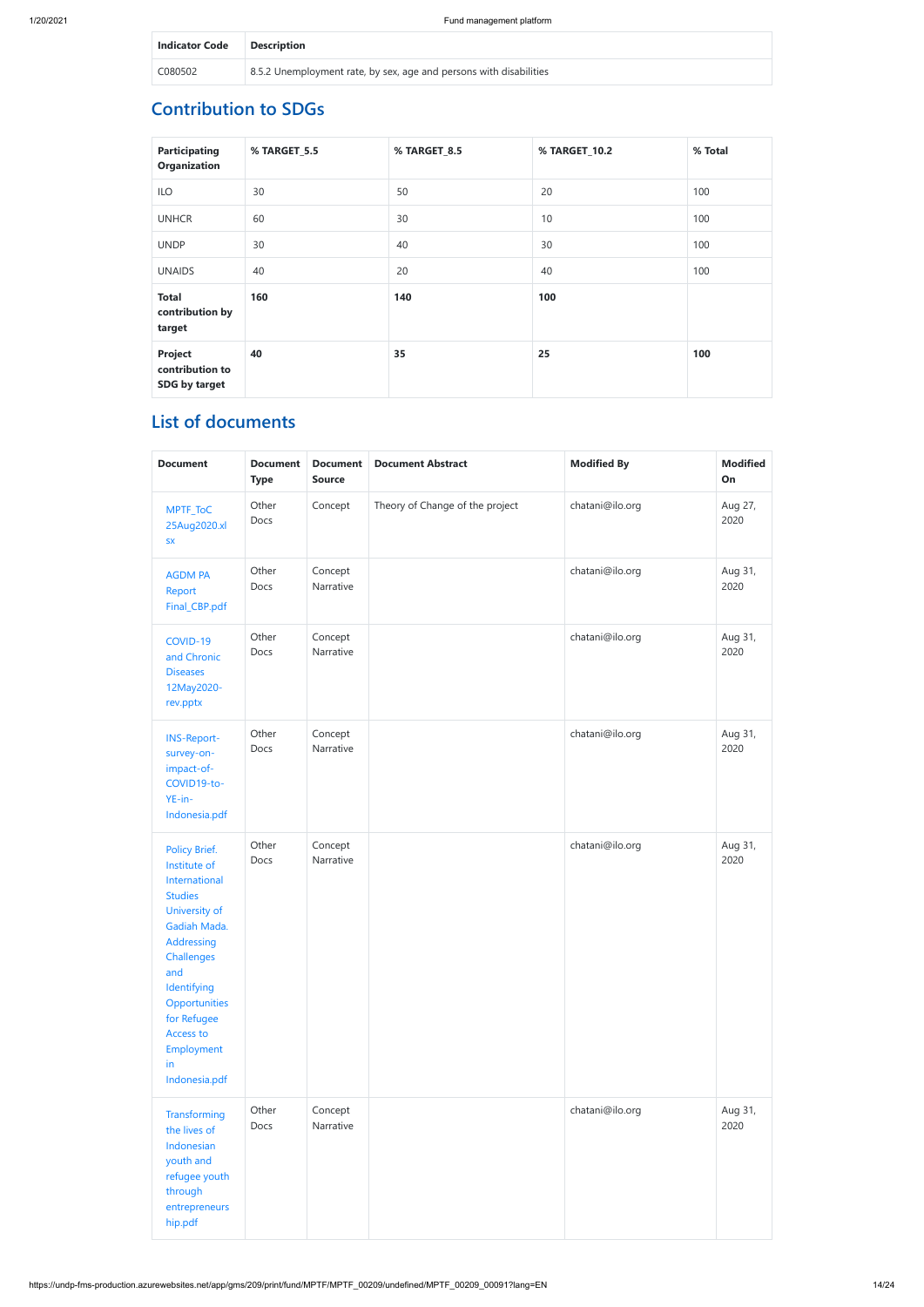| <b>Indicator Code Description</b> |                                                                    |
|-----------------------------------|--------------------------------------------------------------------|
| C080502                           | 8.5.2 Unemployment rate, by sex, age and persons with disabilities |

## **Contribution to SDGs**

| <b>Participating</b><br><b>Organization</b> | % TARGET_5.5 | % TARGET_8.5 | % TARGET_10.2 | % Total |
|---------------------------------------------|--------------|--------------|---------------|---------|
| <b>ILO</b>                                  | 30           | 50           | 20            | 100     |
| <b>UNHCR</b>                                | 60           | 30           | 10            | 100     |
| <b>UNDP</b>                                 | 30           | 40           | 30            | 100     |
| <b>UNAIDS</b>                               | 40           | 20           | 40            | 100     |
| <b>Total</b><br>contribution by<br>target   | 160          | 140          | 100           |         |
| Project<br>contribution to<br>SDG by target | 40           | 35           | 25            | 100     |

## **List of documents**

| <b>Document</b>                                                                                                                                                                                                                       | <b>Document</b><br><b>Type</b>        | <b>Document</b><br><b>Source</b> | <b>Document Abstract</b>        | <b>Modified By</b> | <b>Modified</b><br>On |
|---------------------------------------------------------------------------------------------------------------------------------------------------------------------------------------------------------------------------------------|---------------------------------------|----------------------------------|---------------------------------|--------------------|-----------------------|
| MPTF_ToC<br>25Aug2020.xl<br>${\sf SX}$                                                                                                                                                                                                | Other<br>Docs                         | Concept                          | Theory of Change of the project | chatani@ilo.org    | Aug 27,<br>2020       |
| <b>AGDM PA</b><br>Report<br>Final_CBP.pdf                                                                                                                                                                                             | Other<br>Concept<br>Narrative<br>Docs |                                  | chatani@ilo.org                 | Aug 31,<br>2020    |                       |
| Other<br>Concept<br>COVID-19<br>Narrative<br>Docs<br>and Chronic<br><b>Diseases</b><br>12May2020-<br>rev.pptx                                                                                                                         |                                       |                                  | chatani@ilo.org                 | Aug 31,<br>2020    |                       |
| <b>INS-Report-</b><br>survey-on-<br>impact-of-<br>COVID19-to-<br>YE-in-<br>Indonesia.pdf                                                                                                                                              | Other<br>Docs                         | Concept<br>Narrative             |                                 | chatani@ilo.org    | Aug 31,<br>2020       |
| Policy Brief.<br>Institute of<br>International<br><b>Studies</b><br>University of<br>Gadiah Mada.<br>Addressing<br>Challenges<br>and<br>Identifying<br>Opportunities<br>for Refugee<br>Access to<br>Employment<br>in<br>Indonesia.pdf | Other<br>Docs                         | Concept<br>Narrative             |                                 | chatani@ilo.org    | Aug 31,<br>2020       |
| Other<br>Concept<br>Transforming<br>Narrative<br>Docs<br>the lives of<br>Indonesian<br>youth and<br>refugee youth<br>through<br>entrepreneurs<br>hip.pdf                                                                              |                                       |                                  |                                 | chatani@ilo.org    | Aug 31,<br>2020       |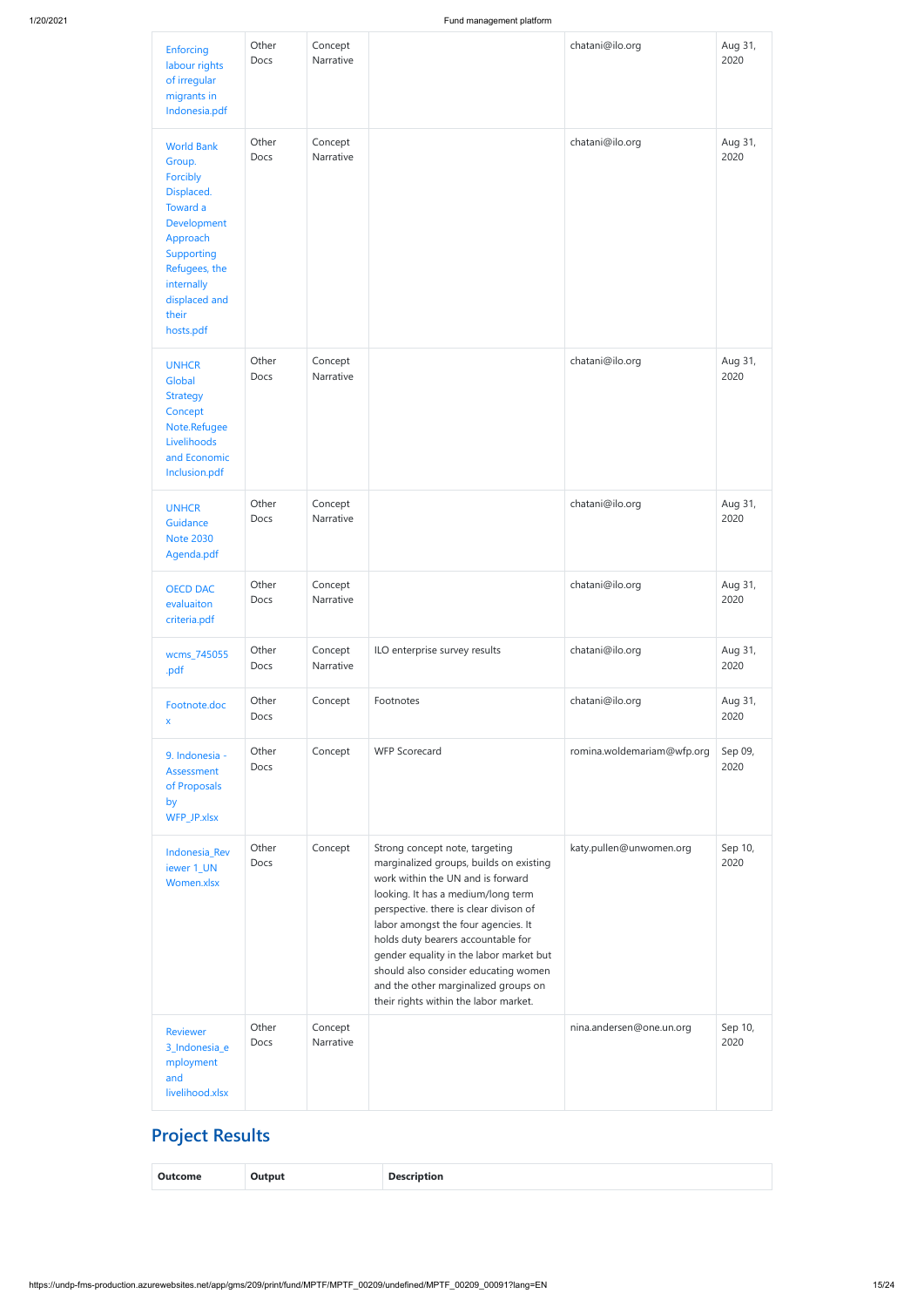| Enforcing<br>labour rights<br>of irregular<br>migrants in<br>Indonesia.pdf                                                                                                       | Other<br>Docs | Concept<br>Narrative |                                                                                                                                                                                                                                                                                                                                                                                                                                                 | chatani@ilo.org            | Aug 31,<br>2020 |
|----------------------------------------------------------------------------------------------------------------------------------------------------------------------------------|---------------|----------------------|-------------------------------------------------------------------------------------------------------------------------------------------------------------------------------------------------------------------------------------------------------------------------------------------------------------------------------------------------------------------------------------------------------------------------------------------------|----------------------------|-----------------|
| <b>World Bank</b><br>Group.<br>Forcibly<br>Displaced.<br>Toward a<br>Development<br>Approach<br>Supporting<br>Refugees, the<br>internally<br>displaced and<br>their<br>hosts.pdf | Other<br>Docs | Concept<br>Narrative |                                                                                                                                                                                                                                                                                                                                                                                                                                                 | chatani@ilo.org            | Aug 31,<br>2020 |
| <b>UNHCR</b><br>Global<br><b>Strategy</b><br>Concept<br>Note.Refugee<br>Livelihoods<br>and Economic<br>Inclusion.pdf                                                             | Other<br>Docs | Concept<br>Narrative |                                                                                                                                                                                                                                                                                                                                                                                                                                                 | chatani@ilo.org            | Aug 31,<br>2020 |
| <b>UNHCR</b><br>Guidance<br><b>Note 2030</b><br>Agenda.pdf                                                                                                                       | Other<br>Docs | Concept<br>Narrative |                                                                                                                                                                                                                                                                                                                                                                                                                                                 | chatani@ilo.org            | Aug 31,<br>2020 |
| <b>OECD DAC</b><br>evaluaiton<br>criteria.pdf                                                                                                                                    | Other<br>Docs | Concept<br>Narrative |                                                                                                                                                                                                                                                                                                                                                                                                                                                 | chatani@ilo.org            | Aug 31,<br>2020 |
| wcms_745055<br>.pdf                                                                                                                                                              | Other<br>Docs | Concept<br>Narrative | ILO enterprise survey results                                                                                                                                                                                                                                                                                                                                                                                                                   | chatani@ilo.org            | Aug 31,<br>2020 |
| Footnote.doc<br>X                                                                                                                                                                | Other<br>Docs | Concept              | Footnotes                                                                                                                                                                                                                                                                                                                                                                                                                                       | chatani@ilo.org            | Aug 31,<br>2020 |
| 9. Indonesia -<br>Assessment<br>of Proposals<br>by<br>WFP_JP.xlsx                                                                                                                | Other<br>Docs | Concept              | <b>WFP Scorecard</b>                                                                                                                                                                                                                                                                                                                                                                                                                            | romina.woldemariam@wfp.org | Sep 09,<br>2020 |
| Indonesia_Rev<br>iewer 1_UN<br>Women.xlsx                                                                                                                                        | Other<br>Docs | Concept              | Strong concept note, targeting<br>marginalized groups, builds on existing<br>work within the UN and is forward<br>looking. It has a medium/long term<br>perspective. there is clear divison of<br>labor amongst the four agencies. It<br>holds duty bearers accountable for<br>gender equality in the labor market but<br>should also consider educating women<br>and the other marginalized groups on<br>their rights within the labor market. | katy.pullen@unwomen.org    | Sep 10,<br>2020 |
| <b>Reviewer</b><br>3_Indonesia_e<br>mployment<br>and<br>livelihood.xlsx                                                                                                          | Other<br>Docs | Concept<br>Narrative |                                                                                                                                                                                                                                                                                                                                                                                                                                                 | nina.andersen@one.un.org   | Sep 10,<br>2020 |

# **Project Results**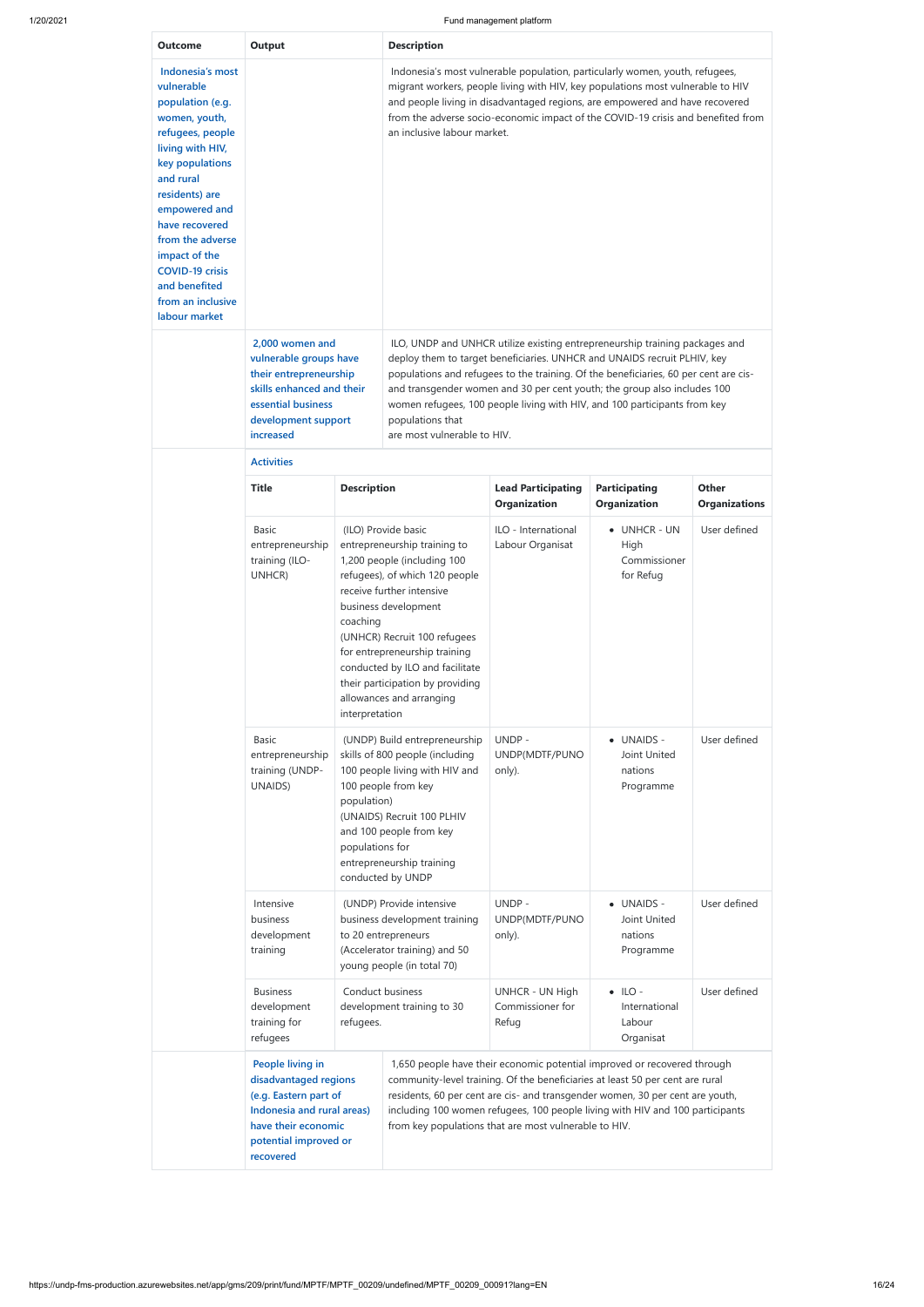H

| <b>Outcome</b>                                                                                                                                                                                                                                                                                                         | Output                                                                                                                                                     |                                | <b>Description</b>                                                                                                                                                                                                                                                                                                                                                                                                                                          | Indonesia's most vulnerable population, particularly women, youth, refugees, |                                                         |                               |  |  |  |  |  |  |
|------------------------------------------------------------------------------------------------------------------------------------------------------------------------------------------------------------------------------------------------------------------------------------------------------------------------|------------------------------------------------------------------------------------------------------------------------------------------------------------|--------------------------------|-------------------------------------------------------------------------------------------------------------------------------------------------------------------------------------------------------------------------------------------------------------------------------------------------------------------------------------------------------------------------------------------------------------------------------------------------------------|------------------------------------------------------------------------------|---------------------------------------------------------|-------------------------------|--|--|--|--|--|--|
| Indonesia's most<br>vulnerable<br>population (e.g.<br>women, youth,<br>refugees, people<br>living with HIV,<br>key populations<br>and rural<br>residents) are<br>empowered and<br>have recovered<br>from the adverse<br>impact of the<br><b>COVID-19 crisis</b><br>and benefited<br>from an inclusive<br>labour market |                                                                                                                                                            |                                | migrant workers, people living with HIV, key populations most vulnerable to HIV<br>and people living in disadvantaged regions, are empowered and have recovered<br>from the adverse socio-economic impact of the COVID-19 crisis and benefited from<br>an inclusive labour market.                                                                                                                                                                          |                                                                              |                                                         |                               |  |  |  |  |  |  |
|                                                                                                                                                                                                                                                                                                                        | 2,000 women and<br>vulnerable groups have<br>their entrepreneurship<br>skills enhanced and their<br>essential business<br>development support<br>increased |                                | ILO, UNDP and UNHCR utilize existing entrepreneurship training packages and<br>deploy them to target beneficiaries. UNHCR and UNAIDS recruit PLHIV, key<br>populations and refugees to the training. Of the beneficiaries, 60 per cent are cis-<br>and transgender women and 30 per cent youth; the group also includes 100<br>women refugees, 100 people living with HIV, and 100 participants from key<br>populations that<br>are most vulnerable to HIV. |                                                                              |                                                         |                               |  |  |  |  |  |  |
|                                                                                                                                                                                                                                                                                                                        | <b>Activities</b><br><b>Title</b><br><b>Description</b>                                                                                                    |                                |                                                                                                                                                                                                                                                                                                                                                                                                                                                             |                                                                              |                                                         |                               |  |  |  |  |  |  |
|                                                                                                                                                                                                                                                                                                                        |                                                                                                                                                            |                                |                                                                                                                                                                                                                                                                                                                                                                                                                                                             | <b>Lead Participating</b><br><b>Organization</b>                             | <b>Participating</b><br><b>Organization</b>             | Other<br><b>Organizations</b> |  |  |  |  |  |  |
|                                                                                                                                                                                                                                                                                                                        | <b>Basic</b><br>entrepreneurship<br>training (ILO-<br>UNHCR)                                                                                               | coaching<br>interpretation     | (ILO) Provide basic<br>entrepreneurship training to<br>1,200 people (including 100<br>refugees), of which 120 people<br>receive further intensive<br>business development<br>(UNHCR) Recruit 100 refugees<br>for entrepreneurship training<br>conducted by ILO and facilitate<br>their participation by providing<br>allowances and arranging                                                                                                               | ILO - International<br>Labour Organisat                                      | • UNHCR-UN<br>High<br>Commissioner<br>for Refug         | User defined                  |  |  |  |  |  |  |
|                                                                                                                                                                                                                                                                                                                        | <b>Basic</b><br>entrepreneurship<br>training (UNDP-<br>UNAIDS)                                                                                             | population)<br>populations for | (UNDP) Build entrepreneurship<br>skills of 800 people (including<br>100 people living with HIV and<br>100 people from key<br>(UNAIDS) Recruit 100 PLHIV<br>and 100 people from key<br>entrepreneurship training<br>conducted by UNDP                                                                                                                                                                                                                        | UNDP-<br>UNDP(MDTF/PUNO<br>only).                                            | <b>UNAIDS -</b><br>Joint United<br>nations<br>Programme | User defined                  |  |  |  |  |  |  |
|                                                                                                                                                                                                                                                                                                                        | Intensive<br>business<br>development<br>training                                                                                                           |                                | (UNDP) Provide intensive<br>business development training<br>to 20 entrepreneurs<br>(Accelerator training) and 50<br>young people (in total 70)                                                                                                                                                                                                                                                                                                             | UNDP-<br>UNDP(MDTF/PUNO<br>only).                                            | • UNAIDS -<br>Joint United<br>nations<br>Programme      | User defined                  |  |  |  |  |  |  |

| <b>Business</b><br>training for<br>refugees                                                                                                                   | Conduct business<br>development training to 30<br>development<br>refugees. |  | UNHCR - UN High<br>Commissioner for<br>Refug                                                                                                                                                                                                                                                                                                                                         | $\bullet$ ILO -<br>International<br>Labour<br>Organisat | User defined |
|---------------------------------------------------------------------------------------------------------------------------------------------------------------|----------------------------------------------------------------------------|--|--------------------------------------------------------------------------------------------------------------------------------------------------------------------------------------------------------------------------------------------------------------------------------------------------------------------------------------------------------------------------------------|---------------------------------------------------------|--------------|
| People living in<br>disadvantaged regions<br>(e.g. Eastern part of<br>Indonesia and rural areas)<br>have their economic<br>potential improved or<br>recovered |                                                                            |  | 1,650 people have their economic potential improved or recovered through<br>community-level training. Of the beneficiaries at least 50 per cent are rural<br>residents, 60 per cent are cis- and transgender women, 30 per cent are youth,<br>including 100 women refugees, 100 people living with HIV and 100 participants<br>from key populations that are most vulnerable to HIV. |                                                         |              |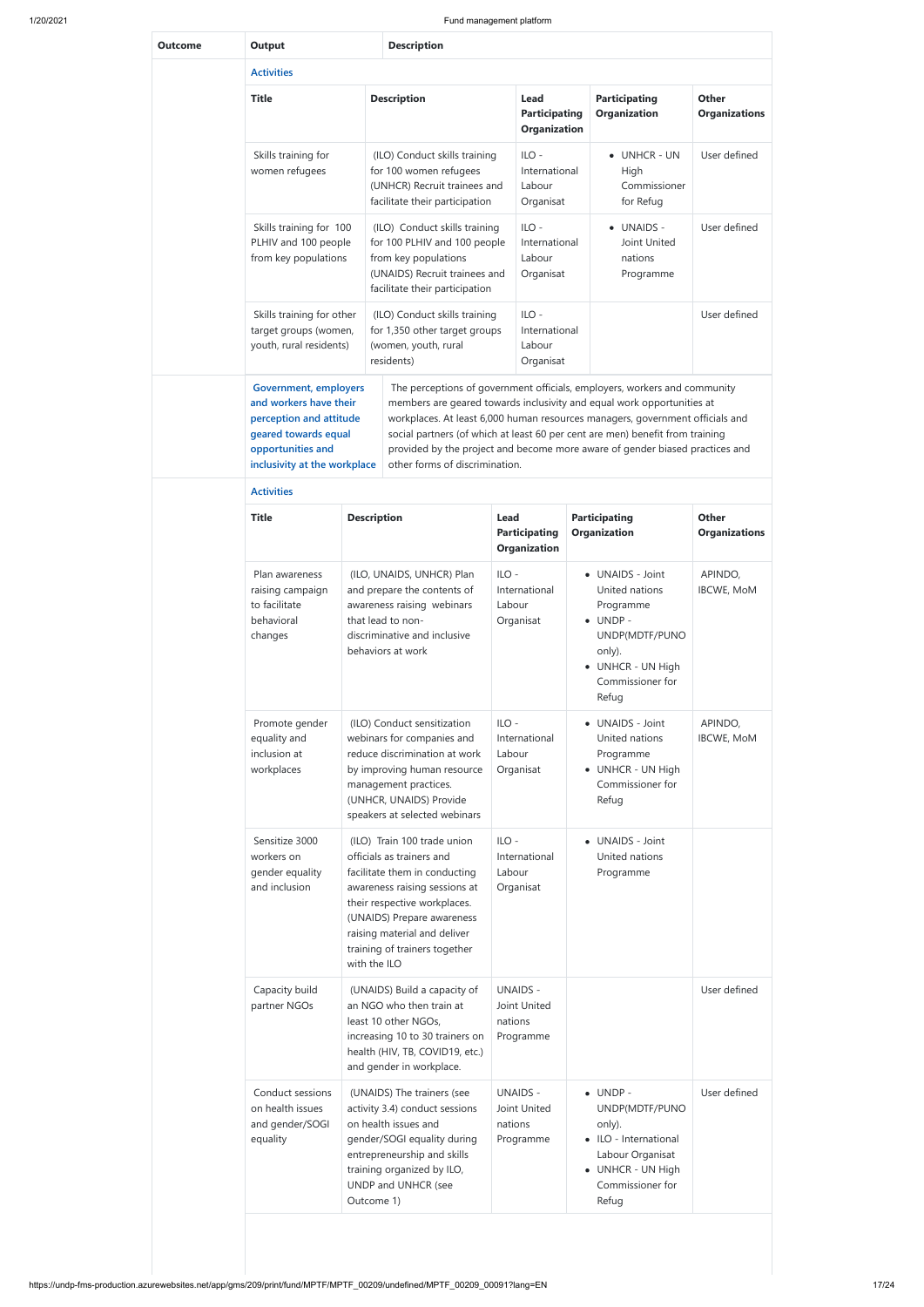| <b>Outcome</b> | <b>Output</b>                                                                                                                                                  |                    | <b>Description</b>                                                                                                                                                                                                                                                                                                                                                                                                                      |                                                 |                                                     |                                      |                                                                                                                                                   |                               |
|----------------|----------------------------------------------------------------------------------------------------------------------------------------------------------------|--------------------|-----------------------------------------------------------------------------------------------------------------------------------------------------------------------------------------------------------------------------------------------------------------------------------------------------------------------------------------------------------------------------------------------------------------------------------------|-------------------------------------------------|-----------------------------------------------------|--------------------------------------|---------------------------------------------------------------------------------------------------------------------------------------------------|-------------------------------|
|                | <b>Activities</b>                                                                                                                                              |                    |                                                                                                                                                                                                                                                                                                                                                                                                                                         |                                                 |                                                     |                                      |                                                                                                                                                   |                               |
|                | <b>Title</b>                                                                                                                                                   |                    | <b>Description</b>                                                                                                                                                                                                                                                                                                                                                                                                                      |                                                 | Lead<br><b>Participating</b><br><b>Organization</b> |                                      | <b>Participating</b><br><b>Organization</b>                                                                                                       | Other<br><b>Organizations</b> |
|                | Skills training for<br>women refugees                                                                                                                          |                    | (ILO) Conduct skills training<br>for 100 women refugees<br>(UNHCR) Recruit trainees and<br>facilitate their participation                                                                                                                                                                                                                                                                                                               |                                                 | $ILO -$<br>International<br>Labour<br>Organisat     |                                      | • UNHCR-UN<br>High<br>Commissioner<br>for Refug                                                                                                   | User defined                  |
|                | Skills training for 100<br>PLHIV and 100 people<br>from key populations                                                                                        |                    | (ILO) Conduct skills training<br>for 100 PLHIV and 100 people<br>from key populations<br>(UNAIDS) Recruit trainees and<br>facilitate their participation                                                                                                                                                                                                                                                                                |                                                 | $ILO -$<br>International<br>Labour<br>Organisat     |                                      | • UNAIDS -<br>Joint United<br>nations<br>Programme                                                                                                | User defined                  |
|                | Skills training for other<br>target groups (women,<br>youth, rural residents)                                                                                  |                    | (ILO) Conduct skills training<br>for 1,350 other target groups<br>(women, youth, rural<br>residents)                                                                                                                                                                                                                                                                                                                                    | $ILO -$<br>International<br>Labour<br>Organisat |                                                     |                                      | User defined                                                                                                                                      |                               |
|                | <b>Government, employers</b><br>and workers have their<br>perception and attitude<br>geared towards equal<br>opportunities and<br>inclusivity at the workplace |                    | The perceptions of government officials, employers, workers and community<br>members are geared towards inclusivity and equal work opportunities at<br>workplaces. At least 6,000 human resources managers, government officials and<br>social partners (of which at least 60 per cent are men) benefit from training<br>provided by the project and become more aware of gender biased practices and<br>other forms of discrimination. |                                                 |                                                     |                                      |                                                                                                                                                   |                               |
|                | <b>Activities</b>                                                                                                                                              |                    |                                                                                                                                                                                                                                                                                                                                                                                                                                         |                                                 |                                                     |                                      |                                                                                                                                                   |                               |
|                | <b>Title</b>                                                                                                                                                   | <b>Description</b> |                                                                                                                                                                                                                                                                                                                                                                                                                                         | Lead                                            | <b>Participating</b><br><b>Organization</b>         | <b>Participating</b><br>Organization |                                                                                                                                                   | Other<br><b>Organizations</b> |
|                | Plan awareness<br>raising campaign<br>to facilitate<br>behavioral<br>changes                                                                                   |                    | (ILO, UNAIDS, UNHCR) Plan<br>and prepare the contents of<br>awareness raising webinars<br>that lead to non-<br>discriminative and inclusive<br>behaviors at work                                                                                                                                                                                                                                                                        | $ILO -$<br>Labour                               | International<br>Organisat                          |                                      | • UNAIDS - Joint<br>United nations<br>Programme<br>$\bullet$ UNDP -<br>UNDP(MDTF/PUNO<br>only).<br>• UNHCR - UN High<br>Commissioner for<br>Refug | APINDO,<br><b>IBCWE, MoM</b>  |
|                | Promote gender<br>equality and<br>inclusion at<br>workplaces                                                                                                   |                    | (ILO) Conduct sensitization<br>webinars for companies and<br>reduce discrimination at work<br>by improving human resource<br>management practices.<br>(UNHCR, UNAIDS) Provide<br>speakers at selected webinars                                                                                                                                                                                                                          | $ILO -$<br>Labour                               | International<br>Organisat                          |                                      | • UNAIDS - Joint<br>United nations<br>Programme<br>• UNHCR - UN High<br>Commissioner for<br>Refug                                                 | APINDO,<br><b>IBCWE, MoM</b>  |
|                | Sensitize 3000<br>workers on<br>gender equality<br>and inclusion                                                                                               | with the ILO       | (ILO) Train 100 trade union<br>officials as trainers and<br>facilitate them in conducting<br>awareness raising sessions at<br>their respective workplaces.<br>(UNAIDS) Prepare awareness<br>raising material and deliver<br>training of trainers together                                                                                                                                                                               | $ILO -$<br>Labour                               | International<br>Organisat                          |                                      | • UNAIDS - Joint<br>United nations<br>Programme                                                                                                   |                               |
|                | Capacity build<br>partner NGOs                                                                                                                                 |                    | (UNAIDS) Build a capacity of<br>an NGO who then train at<br>least 10 other NGOs,<br>increasing 10 to 30 trainers on<br>health (HIV, TB, COVID19, etc.)<br>and gender in workplace.                                                                                                                                                                                                                                                      | nations                                         | <b>UNAIDS -</b><br>Joint United<br>Programme        |                                      |                                                                                                                                                   | User defined                  |
|                | Conduct sessions<br>on health issues<br>and gender/SOGI<br>equality                                                                                            | Outcome 1)         | (UNAIDS) The trainers (see<br>activity 3.4) conduct sessions<br>on health issues and<br>gender/SOGI equality during<br>entrepreneurship and skills<br>training organized by ILO,<br>UNDP and UNHCR (see                                                                                                                                                                                                                                 | nations                                         | <b>UNAIDS -</b><br>Joint United<br>Programme        |                                      | $\bullet$ UNDP -<br>UNDP(MDTF/PUNO<br>only).<br>• ILO - International<br>Labour Organisat<br>• UNHCR - UN High<br>Commissioner for<br>Refug       | User defined                  |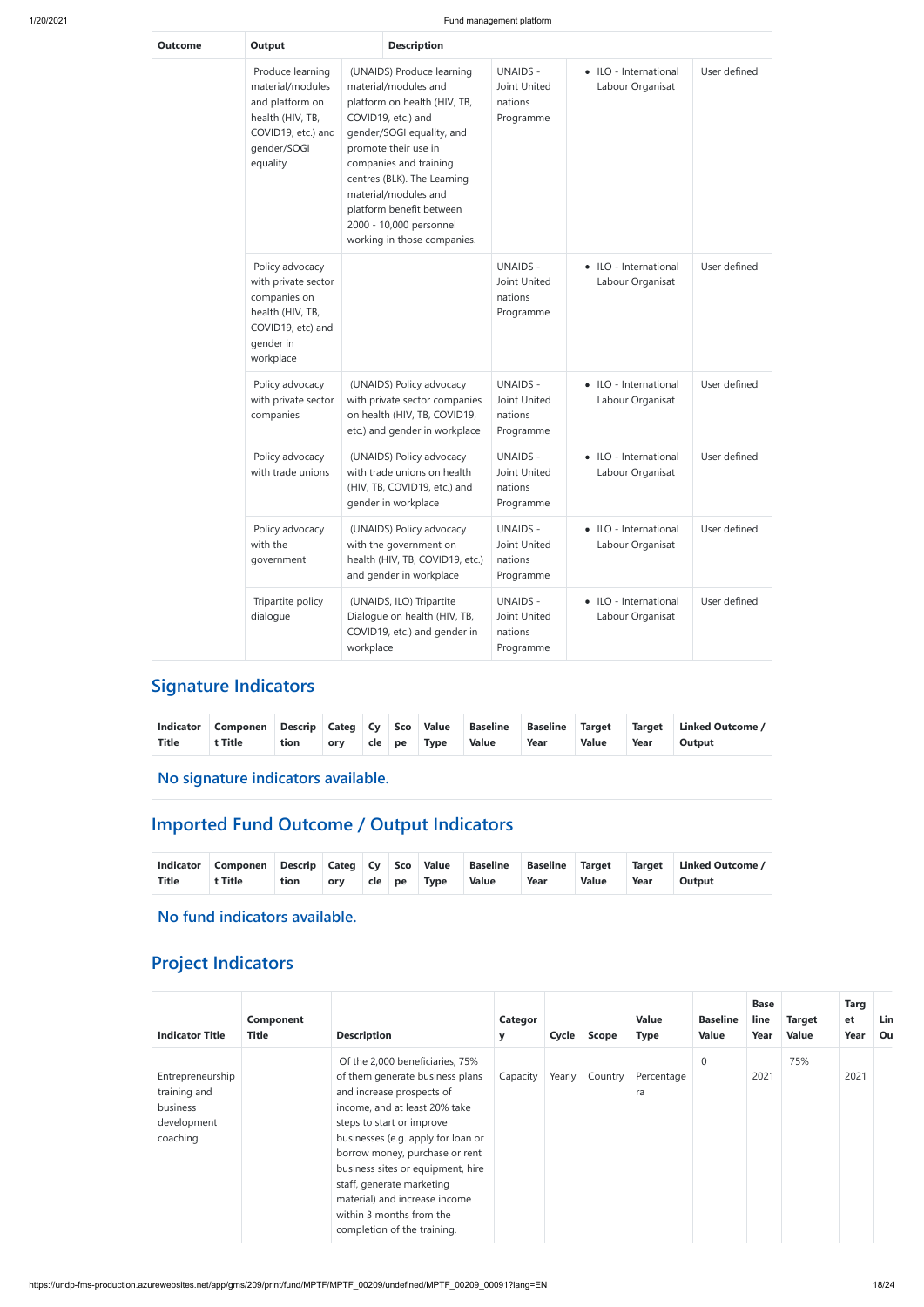| Outcome | <b>Output</b>                                                                                                                |           |                                                                                                                                                                                                                                                                                                                                     | <b>Description</b>                                      |                                           |              |  |  |  |  |  |
|---------|------------------------------------------------------------------------------------------------------------------------------|-----------|-------------------------------------------------------------------------------------------------------------------------------------------------------------------------------------------------------------------------------------------------------------------------------------------------------------------------------------|---------------------------------------------------------|-------------------------------------------|--------------|--|--|--|--|--|
|         | Produce learning<br>material/modules<br>and platform on<br>health (HIV, TB,<br>COVID19, etc.) and<br>gender/SOGI<br>equality |           | (UNAIDS) Produce learning<br>material/modules and<br>platform on health (HIV, TB,<br>COVID19, etc.) and<br>gender/SOGI equality, and<br>promote their use in<br>companies and training<br>centres (BLK). The Learning<br>material/modules and<br>platform benefit between<br>2000 - 10,000 personnel<br>working in those companies. | <b>UNAIDS -</b><br>Joint United<br>nations<br>Programme | • ILO - International<br>Labour Organisat | User defined |  |  |  |  |  |
|         | Policy advocacy<br>with private sector<br>companies on<br>health (HIV, TB,<br>COVID19, etc) and<br>gender in<br>workplace    |           |                                                                                                                                                                                                                                                                                                                                     | <b>UNAIDS -</b><br>Joint United<br>nations<br>Programme | • ILO - International<br>Labour Organisat | User defined |  |  |  |  |  |
|         | Policy advocacy<br>with private sector<br>companies                                                                          |           | (UNAIDS) Policy advocacy<br>with private sector companies<br>on health (HIV, TB, COVID19,<br>etc.) and gender in workplace                                                                                                                                                                                                          | <b>UNAIDS -</b><br>Joint United<br>nations<br>Programme | • ILO - International<br>Labour Organisat | User defined |  |  |  |  |  |
|         | Policy advocacy<br>with trade unions                                                                                         |           | (UNAIDS) Policy advocacy<br>with trade unions on health<br>(HIV, TB, COVID19, etc.) and<br>gender in workplace                                                                                                                                                                                                                      | <b>UNAIDS -</b><br>Joint United<br>nations<br>Programme | • ILO - International<br>Labour Organisat | User defined |  |  |  |  |  |
|         | Policy advocacy<br>with the<br>government                                                                                    |           | (UNAIDS) Policy advocacy<br>with the government on<br>health (HIV, TB, COVID19, etc.)<br>and gender in workplace                                                                                                                                                                                                                    | <b>UNAIDS -</b><br>Joint United<br>nations<br>Programme | • ILO - International<br>Labour Organisat | User defined |  |  |  |  |  |
|         | Tripartite policy<br>dialogue                                                                                                | workplace | (UNAIDS, ILO) Tripartite<br>Dialogue on health (HIV, TB,<br>COVID19, etc.) and gender in                                                                                                                                                                                                                                            | <b>UNAIDS -</b><br>Joint United<br>nations<br>Programme | • ILO - International<br>Labour Organisat | User defined |  |  |  |  |  |

## **Signature Indicators**

| Indicator<br>Title | Componen<br>t Title | tion | ory cle pe Type |  |  |  | Descrip Categ Cy Sco Value Baseline Baseline Target<br>Value | Year | Value | Year | Target Linked Outcome /<br>Output |
|--------------------|---------------------|------|-----------------|--|--|--|--------------------------------------------------------------|------|-------|------|-----------------------------------|
|--------------------|---------------------|------|-----------------|--|--|--|--------------------------------------------------------------|------|-------|------|-----------------------------------|

**No signature indicators available.**

# **Imported Fund Outcome / Output Indicators**

| Indicator<br><b>Title</b> | Componen Descrip Categ Cy   Sco   Value   Baseline   Baseline   Target<br>t Title | tion | ory |  | cle   pe   Type | Value | Year | Value | Target<br>Year | Linked Outcome /<br>Output |
|---------------------------|-----------------------------------------------------------------------------------|------|-----|--|-----------------|-------|------|-------|----------------|----------------------------|
|                           |                                                                                   |      |     |  |                 |       |      |       |                |                            |

**No fund indicators available.**

## **Project Indicators**

| <b>Indicator Title</b>                                                  | <b>Component</b><br><b>Title</b> | <b>Description</b>                                                                                                                                                                                                                                                                                                                                                                                  | Categor<br>y | Cycle  | <b>Scope</b> | <b>Value</b><br><b>Type</b> | <b>Baseline</b><br><b>Value</b> | <b>Base</b><br>line<br>Year | <b>Target</b><br><b>Value</b> | <b>Targ</b><br><b>et</b><br>Year | <b>Lin</b><br>Ou |
|-------------------------------------------------------------------------|----------------------------------|-----------------------------------------------------------------------------------------------------------------------------------------------------------------------------------------------------------------------------------------------------------------------------------------------------------------------------------------------------------------------------------------------------|--------------|--------|--------------|-----------------------------|---------------------------------|-----------------------------|-------------------------------|----------------------------------|------------------|
| Entrepreneurship<br>training and<br>business<br>development<br>coaching |                                  | Of the 2,000 beneficiaries, 75%<br>of them generate business plans<br>and increase prospects of<br>income, and at least 20% take<br>steps to start or improve<br>businesses (e.g. apply for loan or<br>borrow money, purchase or rent<br>business sites or equipment, hire<br>staff, generate marketing<br>material) and increase income<br>within 3 months from the<br>completion of the training. | Capacity     | Yearly | Country      | Percentage<br>ra            | $\mathbf 0$                     | 2021                        | 75%                           | 2021                             |                  |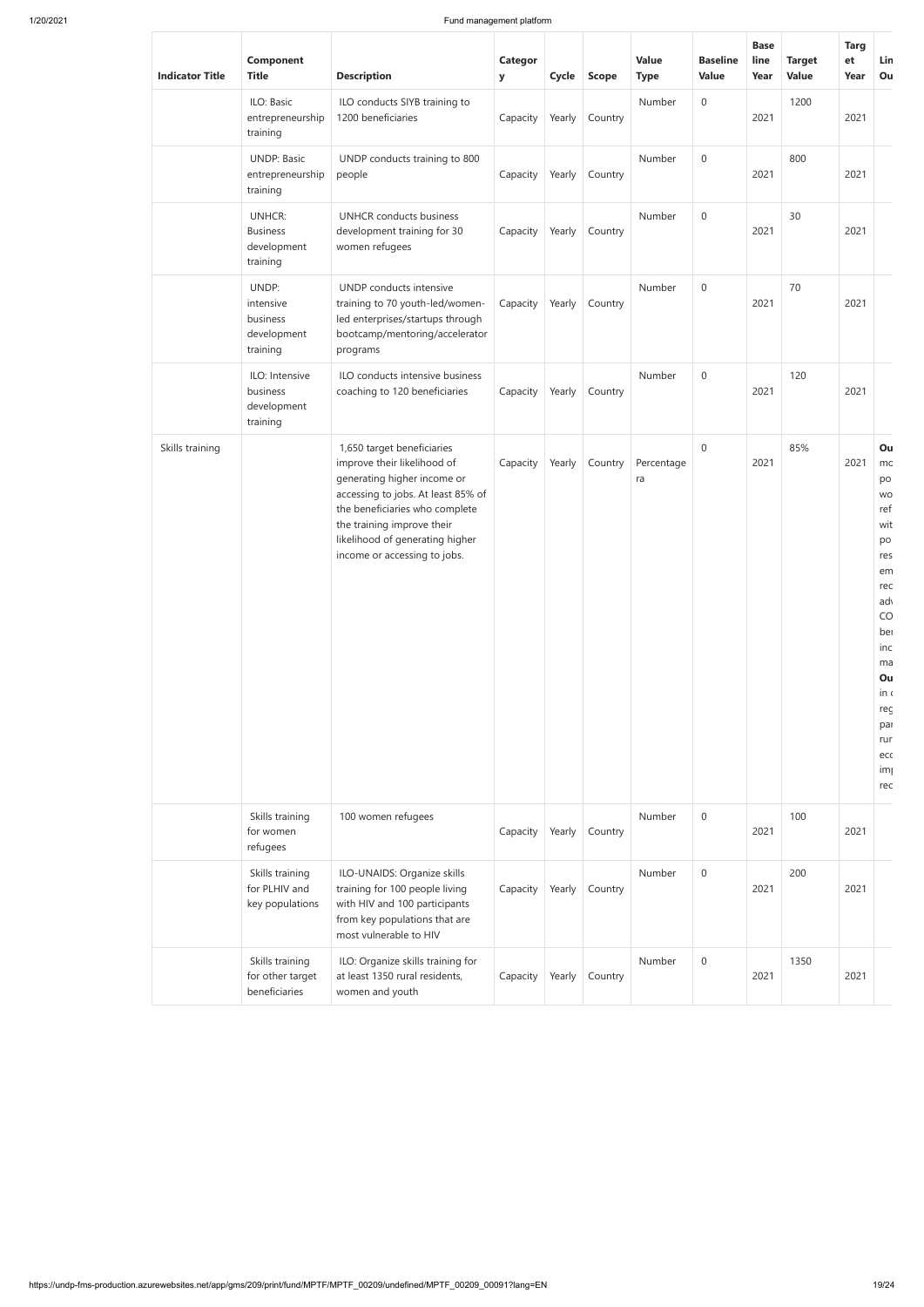| <b>Indicator Title</b> | Component<br><b>Title</b>                                   | <b>Description</b>                                                                                                                                                                                                                                                | <b>Categor</b><br>y | Cycle  | <b>Scope</b>                | Value<br><b>Type</b> | <b>Baseline</b><br>Value | <b>Base</b><br>line<br>Year | <b>Target</b><br><b>Value</b> | <b>Targ</b><br>et<br>Year | Lin<br>Ou                                                                                                                                                                          |
|------------------------|-------------------------------------------------------------|-------------------------------------------------------------------------------------------------------------------------------------------------------------------------------------------------------------------------------------------------------------------|---------------------|--------|-----------------------------|----------------------|--------------------------|-----------------------------|-------------------------------|---------------------------|------------------------------------------------------------------------------------------------------------------------------------------------------------------------------------|
|                        | ILO: Basic<br>entrepreneurship<br>training                  | ILO conducts SIYB training to<br>1200 beneficiaries                                                                                                                                                                                                               | Capacity            | Yearly | Country                     | Number               | $\boldsymbol{0}$         | 2021                        | 1200                          | 2021                      |                                                                                                                                                                                    |
|                        | <b>UNDP: Basic</b><br>entrepreneurship<br>training          | UNDP conducts training to 800<br>people                                                                                                                                                                                                                           | Capacity            | Yearly | Country                     | Number               | $\boldsymbol{0}$         | 2021                        | 800                           | 2021                      |                                                                                                                                                                                    |
|                        | <b>UNHCR:</b><br><b>Business</b><br>development<br>training | <b>UNHCR</b> conducts business<br>development training for 30<br>women refugees                                                                                                                                                                                   | Capacity            | Yearly | Country                     | Number               | $\boldsymbol{0}$         | 2021                        | 30                            | 2021                      |                                                                                                                                                                                    |
|                        | UNDP:<br>intensive<br>business<br>development<br>training   | UNDP conducts intensive<br>training to 70 youth-led/women-<br>led enterprises/startups through<br>bootcamp/mentoring/accelerator<br>programs                                                                                                                      | Capacity            | Yearly | Country                     | Number               | $\boldsymbol{0}$         | 2021                        | 70                            | 2021                      |                                                                                                                                                                                    |
|                        | ILO: Intensive<br>business<br>development<br>training       | ILO conducts intensive business<br>coaching to 120 beneficiaries                                                                                                                                                                                                  | Capacity            | Yearly | Country                     | Number               | $\mathbf 0$              | 2021                        | 120                           | 2021                      |                                                                                                                                                                                    |
| Skills training        |                                                             | 1,650 target beneficiaries<br>improve their likelihood of<br>generating higher income or<br>accessing to jobs. At least 85% of<br>the beneficiaries who complete<br>the training improve their<br>likelihood of generating higher<br>income or accessing to jobs. | Capacity            | Yearly | Country                     | Percentage<br>ra     | $\boldsymbol{0}$         | 2021                        | 85%                           | 2021                      | Ou<br>mc<br>po<br><b>WO</b><br>ref<br>wit<br>po<br>res<br>em<br>rec<br>ad <sup>1</sup><br>CO<br>ber<br>inc<br>ma<br>Ou<br>in<br>reç<br>par<br>rur<br>eco<br>im <sub>l</sub><br>rec |
|                        | Skills training<br>for women<br>refugees                    | 100 women refugees                                                                                                                                                                                                                                                | Capacity            | Yearly | Country                     | Number               | $\boldsymbol{0}$         | 2021                        | 100                           | 2021                      |                                                                                                                                                                                    |
|                        | Skills training<br>for PLHIV and<br>key populations         | ILO-UNAIDS: Organize skills<br>training for 100 people living<br>with HIV and 100 participants<br>from key populations that are<br>most vulnerable to HIV                                                                                                         | Capacity            | Yearly | Country                     | Number               | $\boldsymbol{0}$         | 2021                        | 200                           | 2021                      |                                                                                                                                                                                    |
|                        | Skills training<br>for other target                         | ILO: Organize skills training for<br>at least 1350 rural residents,                                                                                                                                                                                               |                     |        | Capacity   Yearly   Country | Number               | $\boldsymbol{0}$         | 2021                        | 1350                          | 2021                      |                                                                                                                                                                                    |

|  | beneficiaries | women and youth |  |  |  |  |
|--|---------------|-----------------|--|--|--|--|
|  |               |                 |  |  |  |  |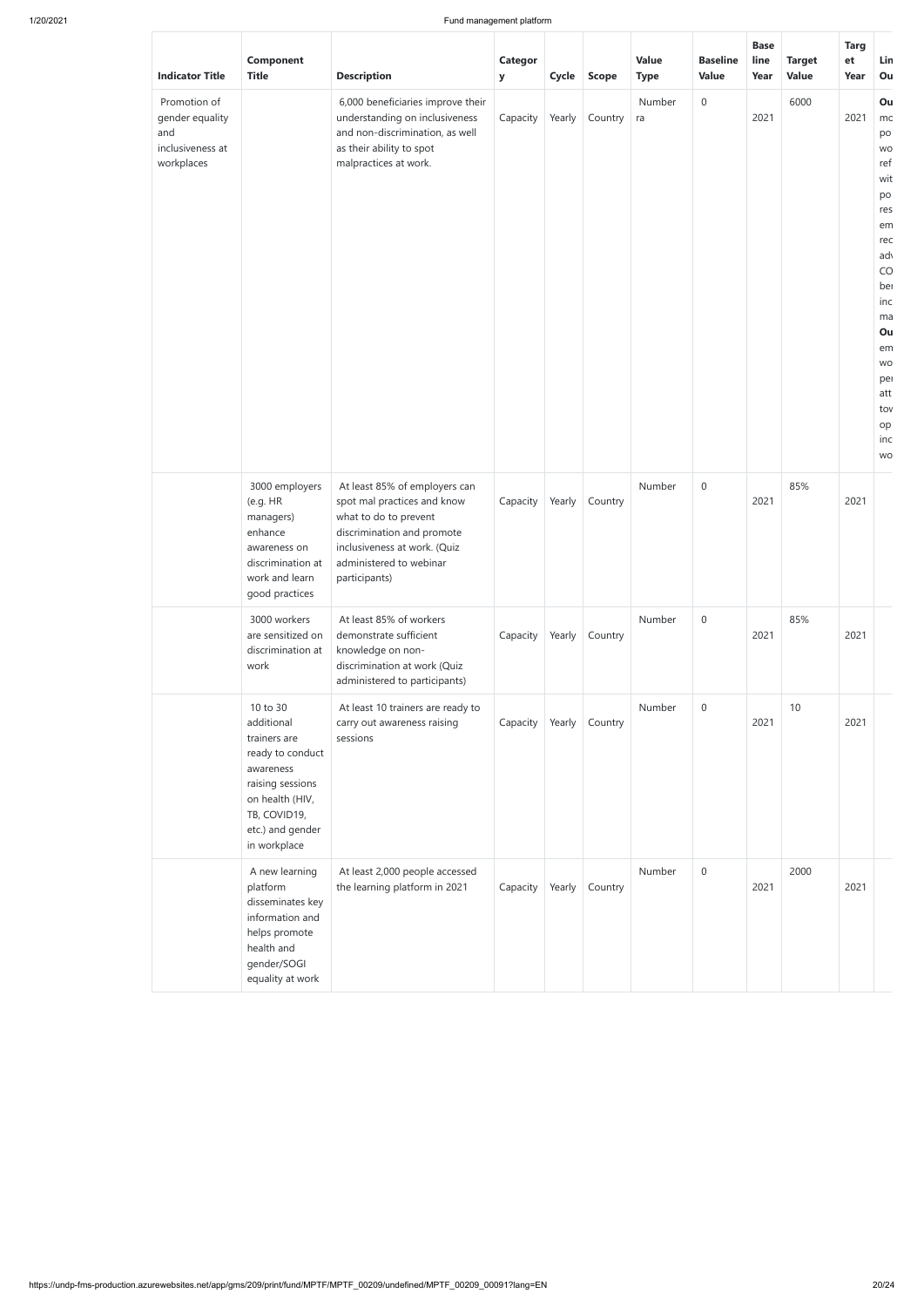| <b>Indicator Title</b>                                                   | <b>Component</b><br><b>Title</b>                                                                                                                                   | <b>Description</b>                                                                                                                                                                              | Categor<br>У | Cycle  | <b>Scope</b> | <b>Value</b><br><b>Type</b> | <b>Baseline</b><br><b>Value</b> | <b>Base</b><br>line<br>Year | <b>Target</b><br><b>Value</b> | <b>Targ</b><br>et<br>Year | Lin<br>Ou                                                                                                                                                            |
|--------------------------------------------------------------------------|--------------------------------------------------------------------------------------------------------------------------------------------------------------------|-------------------------------------------------------------------------------------------------------------------------------------------------------------------------------------------------|--------------|--------|--------------|-----------------------------|---------------------------------|-----------------------------|-------------------------------|---------------------------|----------------------------------------------------------------------------------------------------------------------------------------------------------------------|
| Promotion of<br>gender equality<br>and<br>inclusiveness at<br>workplaces |                                                                                                                                                                    | 6,000 beneficiaries improve their<br>understanding on inclusiveness<br>and non-discrimination, as well<br>as their ability to spot<br>malpractices at work.                                     | Capacity     | Yearly | Country      | Number<br>ra                | $\boldsymbol{0}$                | 2021                        | 6000                          | 2021                      | Ou<br>mc<br>po<br>WO<br>ref<br>wit<br>po<br>res<br>em<br>rec<br>ad<br>CO<br>ber<br>inc<br>ma<br>Ou<br>em<br><b>WO</b><br>per<br>att<br>tov<br>op<br>inc<br><b>WO</b> |
|                                                                          | 3000 employers<br>(e.g. HR<br>managers)<br>enhance<br>awareness on<br>discrimination at<br>work and learn<br>good practices                                        | At least 85% of employers can<br>spot mal practices and know<br>what to do to prevent<br>discrimination and promote<br>inclusiveness at work. (Quiz<br>administered to webinar<br>participants) | Capacity     | Yearly | Country      | Number                      | $\boldsymbol{0}$                | 2021                        | 85%                           | 2021                      |                                                                                                                                                                      |
|                                                                          | 3000 workers<br>are sensitized on<br>discrimination at<br>work                                                                                                     | At least 85% of workers<br>demonstrate sufficient<br>knowledge on non-<br>discrimination at work (Quiz<br>administered to participants)                                                         | Capacity     | Yearly | Country      | Number                      | $\boldsymbol{0}$                | 2021                        | 85%                           | 2021                      |                                                                                                                                                                      |
|                                                                          | 10 to 30<br>additional<br>trainers are<br>ready to conduct<br>awareness<br>raising sessions<br>on health (HIV,<br>TB, COVID19,<br>etc.) and gender<br>in workplace | At least 10 trainers are ready to<br>carry out awareness raising<br>sessions                                                                                                                    | Capacity     | Yearly | Country      | Number                      | $\mathbf 0$                     | 2021                        | 10                            | 2021                      |                                                                                                                                                                      |
|                                                                          | A new learning<br>platform<br>disseminates key<br>information and<br>helps promote<br>health and<br>gender/SOGI<br>equality at work                                | At least 2,000 people accessed<br>the learning platform in 2021                                                                                                                                 | Capacity     | Yearly | Country      | Number                      | $\mathbf 0$                     | 2021                        | 2000                          | 2021                      |                                                                                                                                                                      |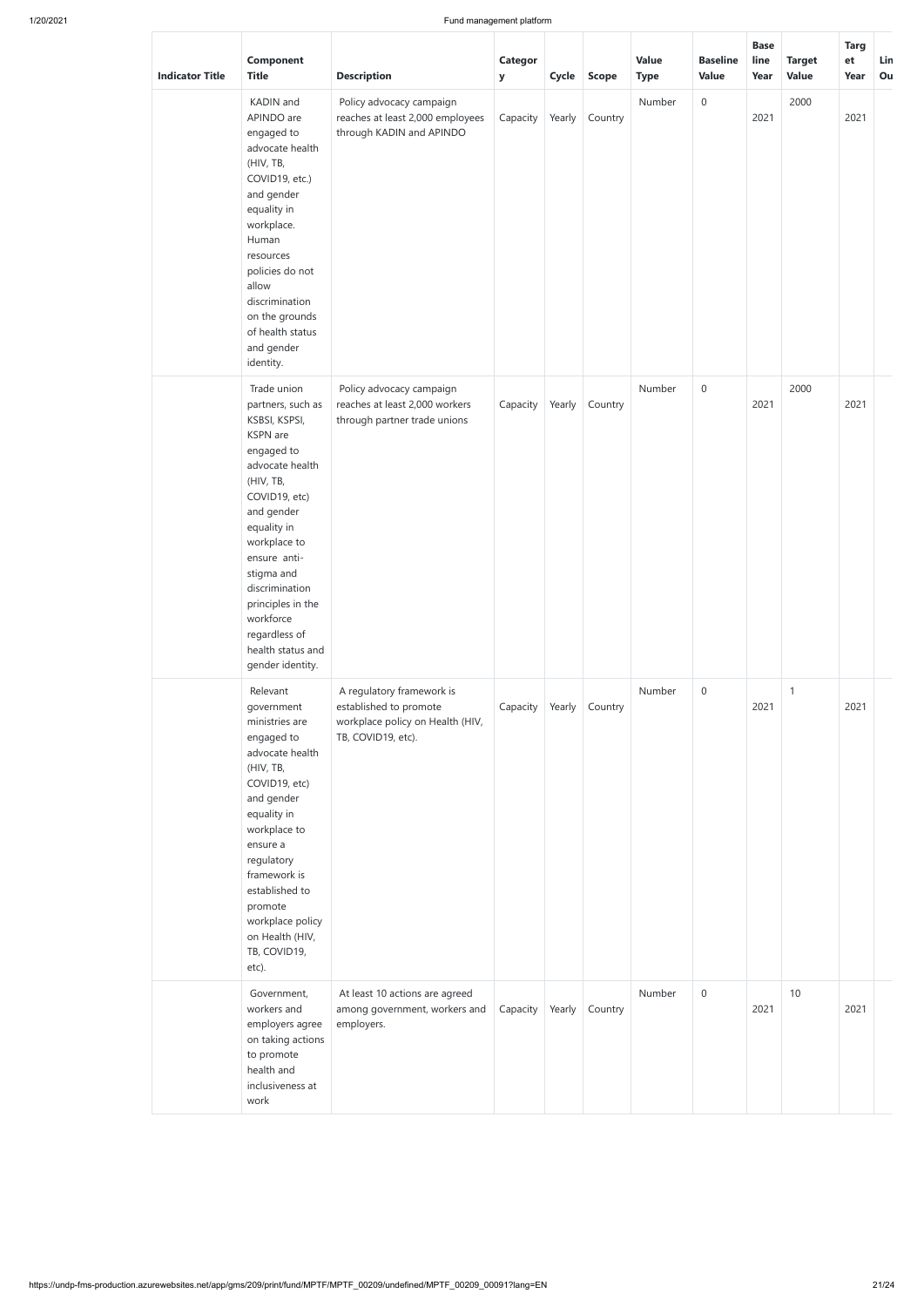| <b>Indicator Title</b> | Component<br><b>Title</b>                                                                                                                                                                                                                                                                                             | <b>Description</b>                                                                                            | <b>Categor</b><br>${\bf y}$ |        | Cycle Scope    | <b>Value</b><br><b>Type</b> | <b>Baseline</b><br><b>Value</b> | <b>Base</b><br>line<br>Year | <b>Target</b><br><b>Value</b> | <b>Targ</b><br>et<br>Year | Lin<br>Ou |
|------------------------|-----------------------------------------------------------------------------------------------------------------------------------------------------------------------------------------------------------------------------------------------------------------------------------------------------------------------|---------------------------------------------------------------------------------------------------------------|-----------------------------|--------|----------------|-----------------------------|---------------------------------|-----------------------------|-------------------------------|---------------------------|-----------|
|                        | KADIN and<br>APINDO are<br>engaged to<br>advocate health<br>(HIV, TB,<br>COVID19, etc.)<br>and gender<br>equality in<br>workplace.<br>Human<br>resources<br>policies do not<br>allow<br>discrimination<br>on the grounds<br>of health status<br>and gender<br>identity.                                               | Policy advocacy campaign<br>reaches at least 2,000 employees<br>through KADIN and APINDO                      | Capacity                    | Yearly | Country        | Number                      | $\mathbf 0$                     | 2021                        | 2000                          | 2021                      |           |
|                        | Trade union<br>partners, such as<br>KSBSI, KSPSI,<br>KSPN are<br>engaged to<br>advocate health<br>(HIV, TB,<br>COVID19, etc)<br>and gender<br>equality in<br>workplace to<br>ensure anti-<br>stigma and<br>discrimination<br>principles in the<br>workforce<br>regardless of<br>health status and<br>gender identity. | Policy advocacy campaign<br>reaches at least 2,000 workers<br>through partner trade unions                    | Capacity                    | Yearly | Country        | Number                      | $\mathbf 0$                     | 2021                        | 2000                          | 2021                      |           |
|                        | Relevant<br>government<br>ministries are<br>engaged to<br>advocate health<br>(HIV, TB,<br>COVID19, etc)<br>and gender<br>equality in<br>workplace to<br>ensure a<br>regulatory<br>framework is<br>established to<br>promote<br>workplace policy<br>on Health (HIV,<br>TB, COVID19,<br>etc).                           | A regulatory framework is<br>established to promote<br>workplace policy on Health (HIV,<br>TB, COVID19, etc). | Capacity                    |        | Yearly Country | Number                      | $\mathbf 0$                     | 2021                        | $\mathbf{1}$                  | 2021                      |           |

| Government,       | At least 10 actions are agreed |          |        |         | Number | 0 |      | 10 |      |  |
|-------------------|--------------------------------|----------|--------|---------|--------|---|------|----|------|--|
| workers and       | among government, workers and  | Capacity | Yearly | Country |        |   | 2021 |    | 2021 |  |
| employers agree   | employers.                     |          |        |         |        |   |      |    |      |  |
| on taking actions |                                |          |        |         |        |   |      |    |      |  |
| to promote        |                                |          |        |         |        |   |      |    |      |  |
| health and        |                                |          |        |         |        |   |      |    |      |  |
| inclusiveness at  |                                |          |        |         |        |   |      |    |      |  |
| work              |                                |          |        |         |        |   |      |    |      |  |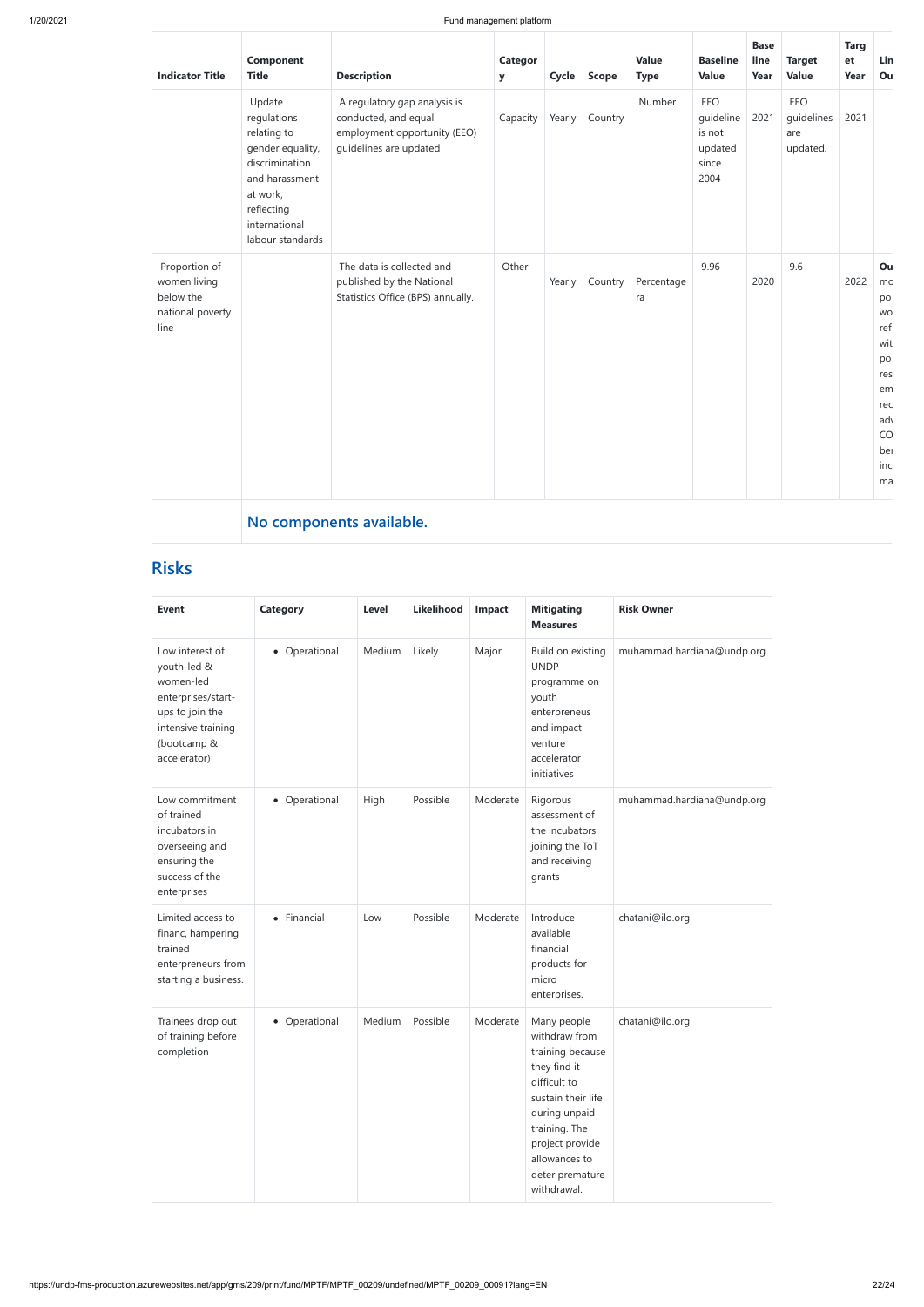| <b>Indicator Title</b>                                                 | Component<br><b>Title</b>                                                                                                                                   | <b>Description</b>                                                                                             | <b>Categor</b><br>y | Cycle  | <b>Scope</b> | <b>Value</b><br><b>Type</b> | <b>Baseline</b><br><b>Value</b>                        | <b>Base</b><br>line<br>Year | <b>Target</b><br><b>Value</b>        | <b>Targ</b><br>et<br>Year | Lin<br>Ou                                                                                           |
|------------------------------------------------------------------------|-------------------------------------------------------------------------------------------------------------------------------------------------------------|----------------------------------------------------------------------------------------------------------------|---------------------|--------|--------------|-----------------------------|--------------------------------------------------------|-----------------------------|--------------------------------------|---------------------------|-----------------------------------------------------------------------------------------------------|
|                                                                        | Update<br>regulations<br>relating to<br>gender equality,<br>discrimination<br>and harassment<br>at work,<br>reflecting<br>international<br>labour standards | A regulatory gap analysis is<br>conducted, and equal<br>employment opportunity (EEO)<br>guidelines are updated | Capacity            | Yearly | Country      | Number                      | EEO<br>guideline<br>is not<br>updated<br>since<br>2004 | 2021                        | EEO<br>guidelines<br>are<br>updated. | 2021                      |                                                                                                     |
| Proportion of<br>women living<br>below the<br>national poverty<br>line |                                                                                                                                                             | The data is collected and<br>published by the National<br>Statistics Office (BPS) annually.                    | Other               | Yearly | Country      | Percentage<br>ra            | 9.96                                                   | 2020                        | 9.6                                  | 2022                      | Ou<br>mc<br>po<br><b>WO</b><br>ref<br>wit<br>po<br>res<br>em<br>rec<br>ad<br>CO<br>ber<br>inc<br>ma |
|                                                                        |                                                                                                                                                             | No components available.                                                                                       |                     |        |              |                             |                                                        |                             |                                      |                           |                                                                                                     |

## **Risks**

| <b>Event</b>                                                                                                                              | <b>Category</b> | <b>Level</b> | Likelihood | Impact   | <b>Mitigating</b><br><b>Measures</b>                                                                                                                                                                           | <b>Risk Owner</b>          |
|-------------------------------------------------------------------------------------------------------------------------------------------|-----------------|--------------|------------|----------|----------------------------------------------------------------------------------------------------------------------------------------------------------------------------------------------------------------|----------------------------|
| Low interest of<br>youth-led &<br>women-led<br>enterprises/start-<br>ups to join the<br>intensive training<br>(bootcamp &<br>accelerator) | • Operational   | Medium       | Likely     | Major    | Build on existing<br><b>UNDP</b><br>programme on<br>youth<br>enterpreneus<br>and impact<br>venture<br>accelerator<br>initiatives                                                                               | muhammad.hardiana@undp.org |
| Low commitment<br>of trained<br>incubators in<br>overseeing and<br>ensuring the<br>success of the<br>enterprises                          | • Operational   | High         | Possible   | Moderate | Rigorous<br>assessment of<br>the incubators<br>joining the ToT<br>and receiving<br>grants                                                                                                                      | muhammad.hardiana@undp.org |
| Limited access to<br>financ, hampering<br>trained<br>enterpreneurs from<br>starting a business.                                           | • Financial     | Low          | Possible   | Moderate | Introduce<br>available<br>financial<br>products for<br>micro<br>enterprises.                                                                                                                                   | chatani@ilo.org            |
| Trainees drop out<br>of training before<br>completion                                                                                     | • Operational   | Medium       | Possible   | Moderate | Many people<br>withdraw from<br>training because<br>they find it<br>difficult to<br>sustain their life<br>during unpaid<br>training. The<br>project provide<br>allowances to<br>deter premature<br>withdrawal. | chatani@ilo.org            |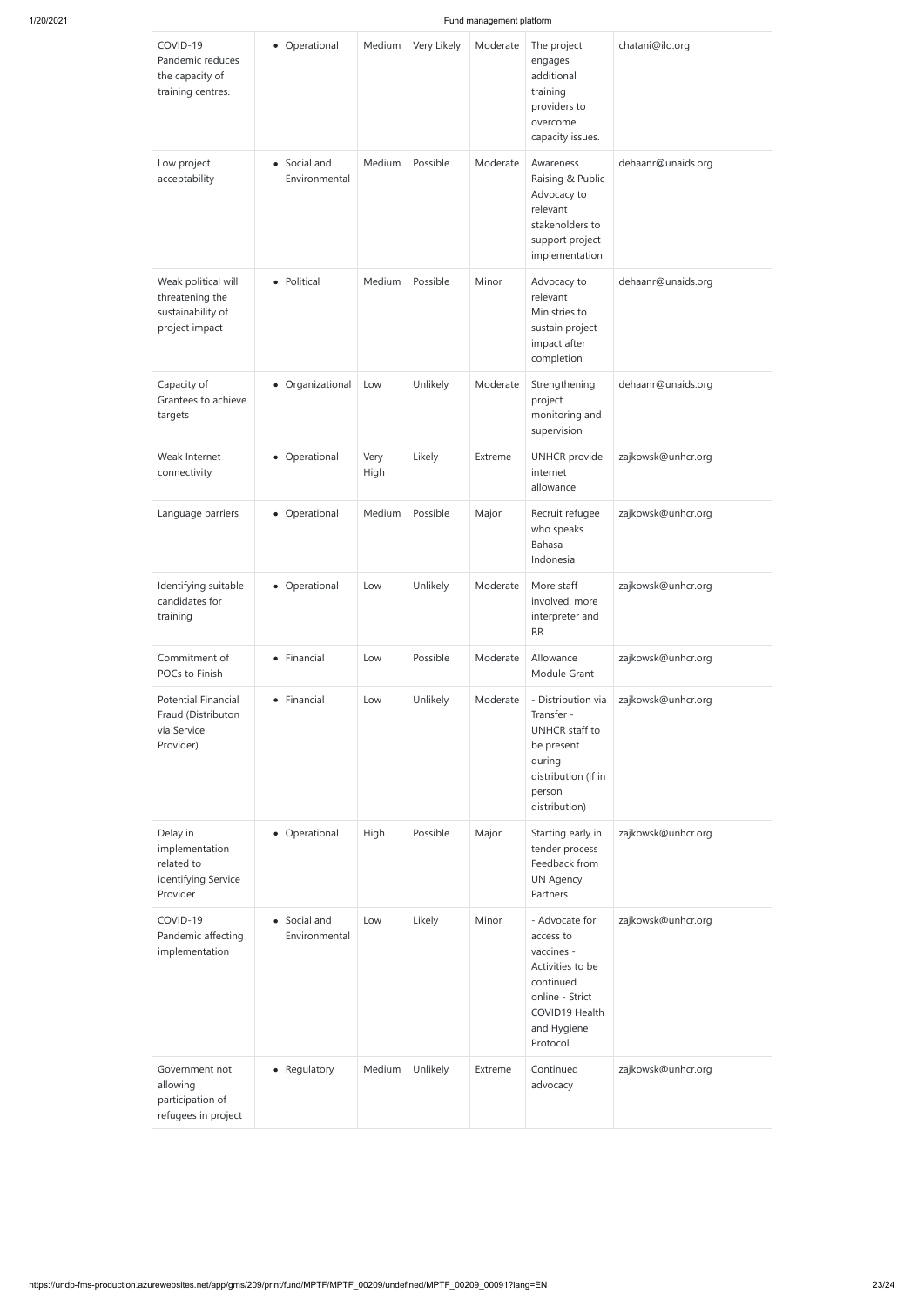| COVID-19<br>Pandemic reduces<br>the capacity of<br>training centres.          | • Operational                 | Medium       | Very Likely | Moderate | The project<br>engages<br>additional<br>training<br>providers to<br>overcome<br>capacity issues.                                           | chatani@ilo.org    |
|-------------------------------------------------------------------------------|-------------------------------|--------------|-------------|----------|--------------------------------------------------------------------------------------------------------------------------------------------|--------------------|
| Low project<br>acceptability                                                  | • Social and<br>Environmental | Medium       | Possible    | Moderate | Awareness<br>Raising & Public<br>Advocacy to<br>relevant<br>stakeholders to<br>support project<br>implementation                           | dehaanr@unaids.org |
| Weak political will<br>threatening the<br>sustainability of<br>project impact | • Political                   | Medium       | Possible    | Minor    | Advocacy to<br>relevant<br>Ministries to<br>sustain project<br>impact after<br>completion                                                  | dehaanr@unaids.org |
| Capacity of<br>Grantees to achieve<br>targets                                 | • Organizational              | Low          | Unlikely    | Moderate | Strengthening<br>project<br>monitoring and<br>supervision                                                                                  | dehaanr@unaids.org |
| Weak Internet<br>connectivity                                                 | • Operational                 | Very<br>High | Likely      | Extreme  | <b>UNHCR</b> provide<br>internet<br>allowance                                                                                              | zajkowsk@unhcr.org |
| Language barriers                                                             | • Operational                 | Medium       | Possible    | Major    | Recruit refugee<br>who speaks<br>Bahasa<br>Indonesia                                                                                       | zajkowsk@unhcr.org |
| Identifying suitable<br>candidates for<br>training                            | • Operational                 | Low          | Unlikely    | Moderate | More staff<br>involved, more<br>interpreter and<br>RR                                                                                      | zajkowsk@unhcr.org |
| Commitment of<br>POCs to Finish                                               | • Financial                   | Low          | Possible    | Moderate | Allowance<br>Module Grant                                                                                                                  | zajkowsk@unhcr.org |
| <b>Potential Financial</b><br>Fraud (Distributon<br>via Service<br>Provider)  | • Financial                   | Low          | Unlikely    | Moderate | - Distribution via<br>Transfer -<br>UNHCR staff to<br>be present<br>during<br>distribution (if in<br>person<br>distribution)               | zajkowsk@unhcr.org |
| Delay in<br>implementation<br>related to<br>identifying Service<br>Provider   | • Operational                 | High         | Possible    | Major    | Starting early in<br>tender process<br>Feedback from<br><b>UN Agency</b><br>Partners                                                       | zajkowsk@unhcr.org |
| COVID-19<br>Pandemic affecting<br>implementation                              | • Social and<br>Environmental | Low          | Likely      | Minor    | - Advocate for<br>access to<br>vaccines -<br>Activities to be<br>continued<br>online - Strict<br>COVID19 Health<br>and Hygiene<br>Protocol | zajkowsk@unhcr.org |
| Government not<br>allowing<br>participation of<br>refugees in project         | • Regulatory                  | Medium       | Unlikely    | Extreme  | Continued<br>advocacy                                                                                                                      | zajkowsk@unhcr.org |